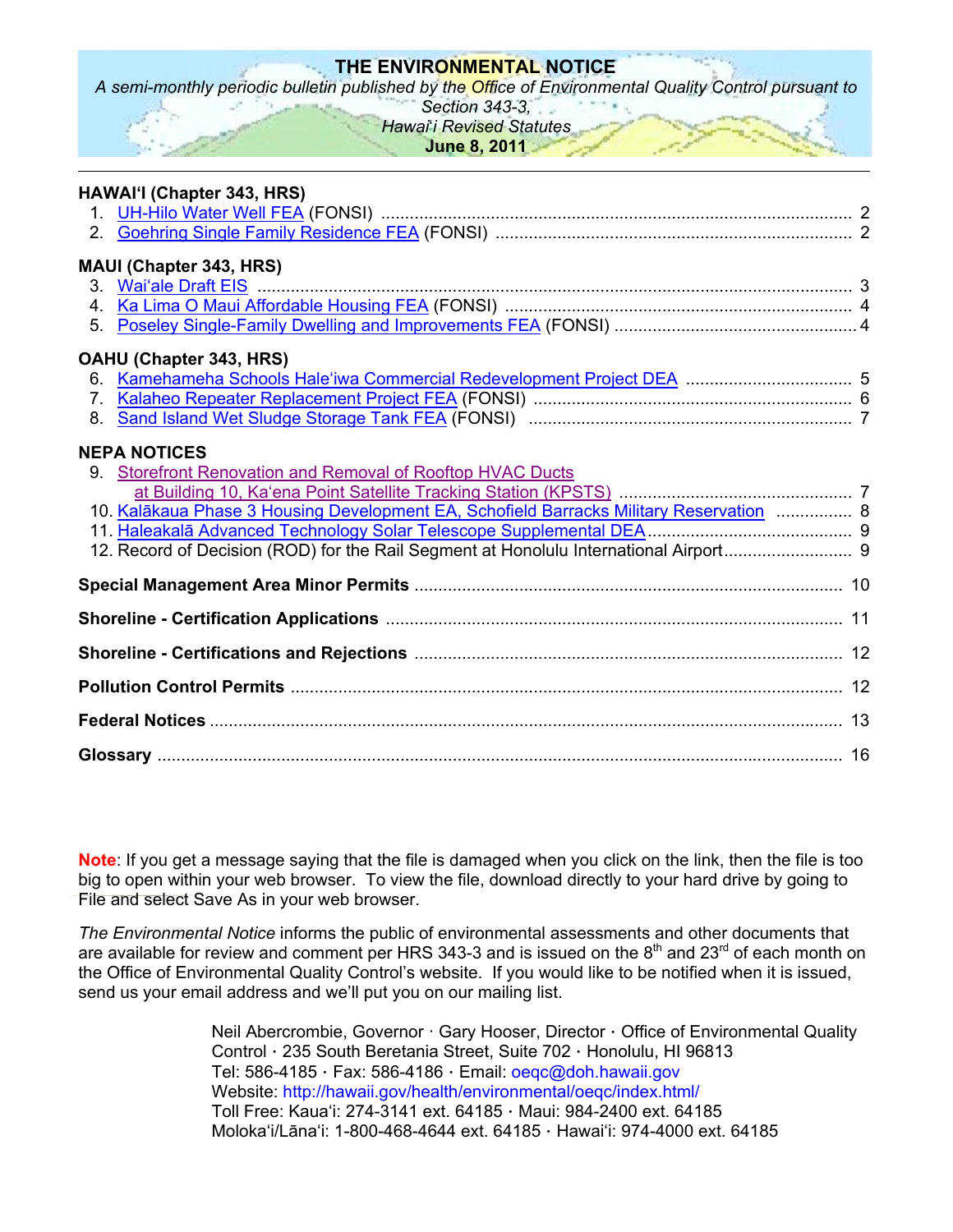### **THE ENVIRONMENTAL NOTICE**

*A semi-monthly periodic bulletin published by the Office of Environmental Quality Control pursuant to* 

*Section 343-3,* 

# *Hawai*'*i Revised Statutes*

**June 8, 2011** 

| HAWAI'l (Chapter 343, HRS)                                                              |  |
|-----------------------------------------------------------------------------------------|--|
|                                                                                         |  |
| <b>MAUI (Chapter 343, HRS)</b>                                                          |  |
|                                                                                         |  |
|                                                                                         |  |
| 5.                                                                                      |  |
| OAHU (Chapter 343, HRS)                                                                 |  |
| 6.                                                                                      |  |
| 7.<br>8.                                                                                |  |
|                                                                                         |  |
| <b>NEPA NOTICES</b>                                                                     |  |
| 9. Storefront Renovation and Removal of Rooftop HVAC Ducts                              |  |
| 10. Kalākaua Phase 3 Housing Development EA, Schofield Barracks Military Reservation  8 |  |
|                                                                                         |  |
|                                                                                         |  |
|                                                                                         |  |
|                                                                                         |  |
|                                                                                         |  |
|                                                                                         |  |
|                                                                                         |  |
|                                                                                         |  |

**Note**: If you get a message saying that the file is damaged when you click on the link, then the file is too big to open within your web browser. To view the file, download directly to your hard drive by going to File and select Save As in your web browser.

*The Environmental Notice* informs the public of environmental assessments and other documents that are available for review and comment per HRS 343-3 and is issued on the  $8<sup>th</sup>$  and 23<sup>rd</sup> of each month on the Office of Environmental Quality Control's website. If you would like to be notified when it is issued, send us your email address and we'll put you on our mailing list.

> Neil Abercrombie, Governor · Gary Hooser, Director · Office of Environmental Quality Control · 235 South Beretania Street, Suite 702 · Honolulu, HI 96813 Tel: 586-4185  $\cdot$  Fax: 586-4186  $\cdot$  Email: oegc@doh.hawaii.gov Website: http://hawaii.gov/health/environmental/oeqc/index.html/ Toll Free: Kauaʻi: 274-3141 ext. 64185 · Maui: 984-2400 ext. 64185 Molokaʻi/Lānaʻi: 1-800-468-4644 ext. 64185 · Hawaiʻi: 974-4000 ext. 64185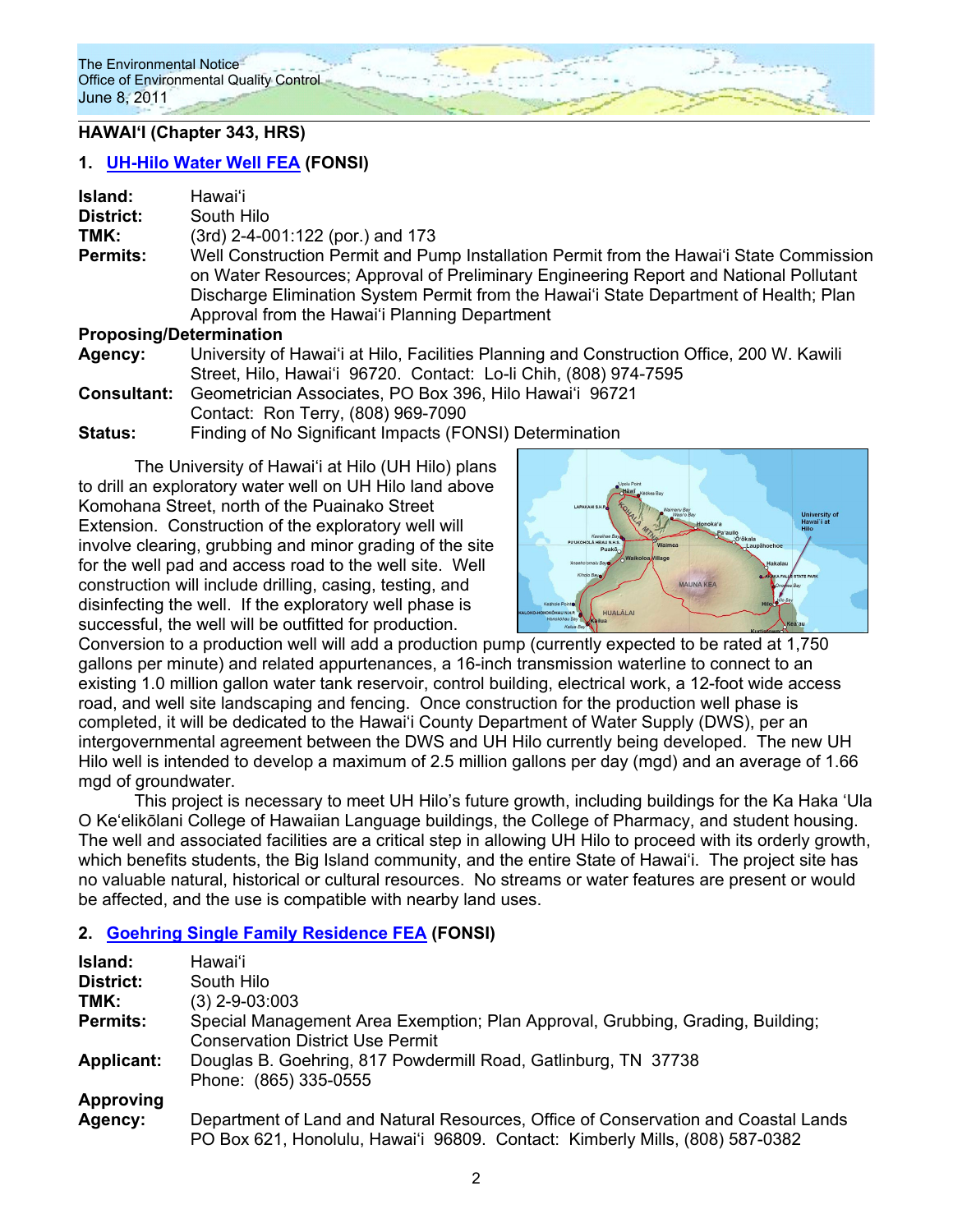# **HAWAIʻI (Chapter 343, HRS)**

### **1. UH-Hilo Water Well FEA (FONSI)**

| Island:         | Hawaiʻi                                                                                                                                                                                                                                                                                                                    |
|-----------------|----------------------------------------------------------------------------------------------------------------------------------------------------------------------------------------------------------------------------------------------------------------------------------------------------------------------------|
| District:       | South Hilo                                                                                                                                                                                                                                                                                                                 |
| TMK:            | $(3rd)$ 2-4-001:122 (por.) and 173                                                                                                                                                                                                                                                                                         |
| <b>Permits:</b> | Well Construction Permit and Pump Installation Permit from the Hawai'i State Commission<br>on Water Resources; Approval of Preliminary Engineering Report and National Pollutant<br>Discharge Elimination System Permit from the Hawai'i State Department of Health; Plan<br>Approval from the Hawai'i Planning Department |
|                 | <b>Proposing/Determination</b>                                                                                                                                                                                                                                                                                             |
| Agency:         | University of Hawai'i at Hilo, Facilities Planning and Construction Office, 200 W. Kawili                                                                                                                                                                                                                                  |

Street, Hilo, Hawai'i 96720. Contact: Lo-li Chih, (808) 974-7595 **Consultant:** Geometrician Associates, PO Box 396, Hilo Hawaiʻi 96721 Contact: Ron Terry, (808) 969-7090

**Status:** Finding of No Significant Impacts (FONSI) Determination

The University of Hawai'i at Hilo (UH Hilo) plans to drill an exploratory water well on UH Hilo land above Komohana Street, north of the Puainako Street Extension. Construction of the exploratory well will involve clearing, grubbing and minor grading of the site for the well pad and access road to the well site. Well construction will include drilling, casing, testing, and disinfecting the well. If the exploratory well phase is successful, the well will be outfitted for production.



Conversion to a production well will add a production pump (currently expected to be rated at 1,750 gallons per minute) and related appurtenances, a 16-inch transmission waterline to connect to an existing 1.0 million gallon water tank reservoir, control building, electrical work, a 12-foot wide access road, and well site landscaping and fencing. Once construction for the production well phase is completed, it will be dedicated to the Hawai'i County Department of Water Supply (DWS), per an intergovernmental agreement between the DWS and UH Hilo currently being developed. The new UH Hilo well is intended to develop a maximum of 2.5 million gallons per day (mgd) and an average of 1.66 mgd of groundwater.

This project is necessary to meet UH Hilo's future growth, including buildings for the Ka Haka 'Ula O Ke'elikōlani College of Hawaiian Language buildings, the College of Pharmacy, and student housing. The well and associated facilities are a critical step in allowing UH Hilo to proceed with its orderly growth, which benefits students, the Big Island community, and the entire State of Hawai'i. The project site has no valuable natural, historical or cultural resources. No streams or water features are present or would be affected, and the use is compatible with nearby land uses.

# **2. Goehring Single Family Residence FEA (FONSI)**

| Island:           | Hawai'i                                                                                                                                                            |  |
|-------------------|--------------------------------------------------------------------------------------------------------------------------------------------------------------------|--|
| District:         | South Hilo                                                                                                                                                         |  |
| TMK:              | $(3)$ 2-9-03:003                                                                                                                                                   |  |
| <b>Permits:</b>   | Special Management Area Exemption; Plan Approval, Grubbing, Grading, Building;<br><b>Conservation District Use Permit</b>                                          |  |
| <b>Applicant:</b> | Douglas B. Goehring, 817 Powdermill Road, Gatlinburg, TN 37738<br>Phone: (865) 335-0555                                                                            |  |
| <b>Approving</b>  |                                                                                                                                                                    |  |
| Agency:           | Department of Land and Natural Resources, Office of Conservation and Coastal Lands<br>PO Box 621, Honolulu, Hawai'i 96809. Contact: Kimberly Mills, (808) 587-0382 |  |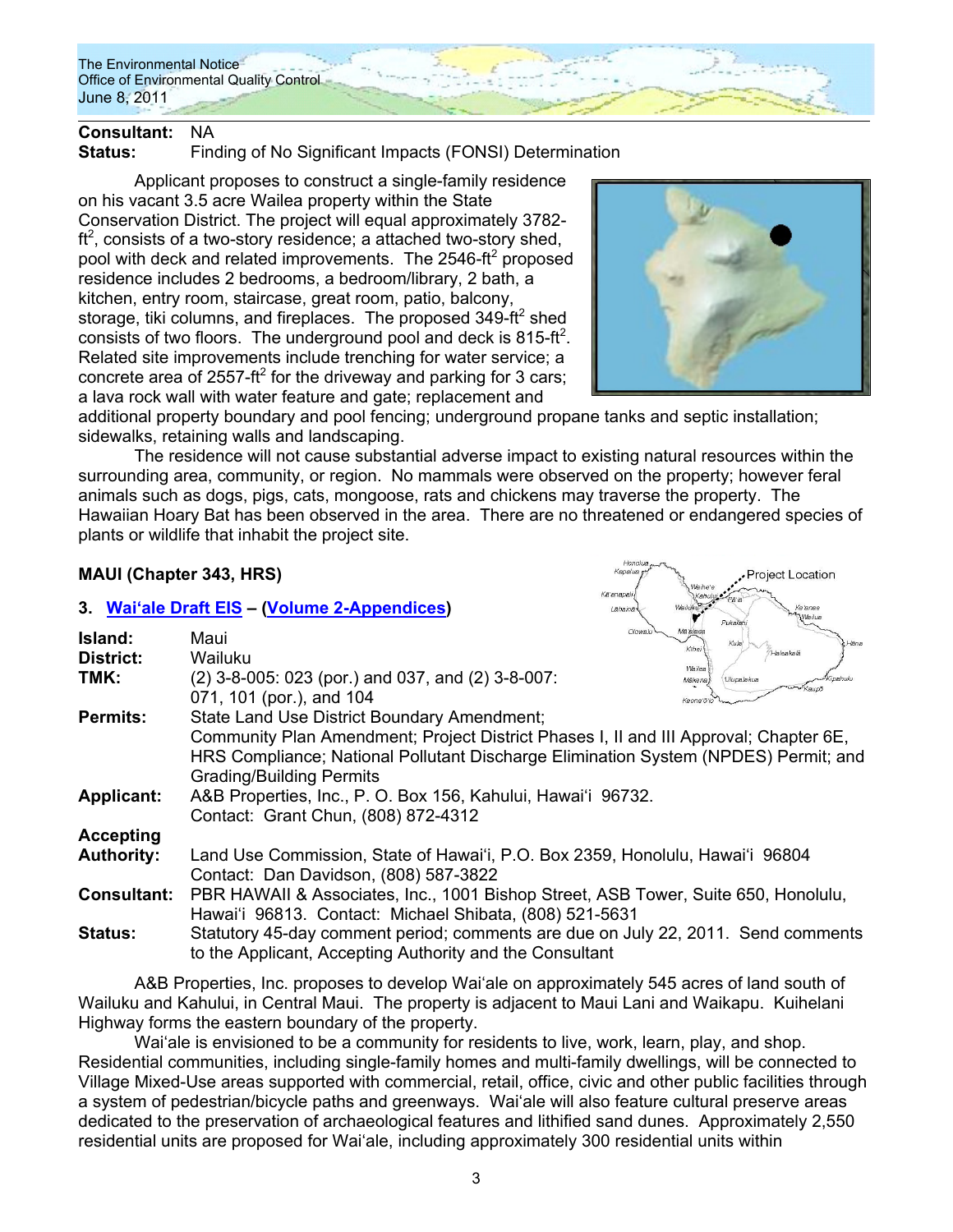

# **Consultant:** NA

**Status:** Finding of No Significant Impacts (FONSI) Determination

Applicant proposes to construct a single-family residence on his vacant 3.5 acre Wailea property within the State Conservation District. The project will equal approximately 3782  $ft<sup>2</sup>$ , consists of a two-story residence; a attached two-story shed, pool with deck and related improvements. The 2546-ft<sup>2</sup> proposed residence includes 2 bedrooms, a bedroom/library, 2 bath, a kitchen, entry room, staircase, great room, patio, balcony, storage, tiki columns, and fireplaces. The proposed 349-ft<sup>2</sup> shed consists of two floors. The underground pool and deck is 815-ft<sup>2</sup>. Related site improvements include trenching for water service; a concrete area of 2557-ft<sup>2</sup> for the driveway and parking for 3 cars; a lava rock wall with water feature and gate; replacement and



additional property boundary and pool fencing; underground propane tanks and septic installation; sidewalks, retaining walls and landscaping.

 The residence will not cause substantial adverse impact to existing natural resources within the surrounding area, community, or region. No mammals were observed on the property; however feral animals such as dogs, pigs, cats, mongoose, rats and chickens may traverse the property. The Hawaiian Hoary Bat has been observed in the area. There are no threatened or endangered species of plants or wildlife that inhabit the project site.

# **MAUI (Chapter 343, HRS)**

**Island:** Maui **District:** Wailuku

### **3. Waiʻale Draft EIS – (Volume 2-Appendices)**

**TMK:** (2) 3-8-005: 023 (por.) and 037, and (2) 3-8-007:



|                    | <b>ANTONY KBUDO</b><br>071, 101 (por.), and 104                                       |
|--------------------|---------------------------------------------------------------------------------------|
| <b>Permits:</b>    | State Land Use District Boundary Amendment;                                           |
|                    | Community Plan Amendment; Project District Phases I, II and III Approval; Chapter 6E, |
|                    | HRS Compliance; National Pollutant Discharge Elimination System (NPDES) Permit; and   |
|                    | <b>Grading/Building Permits</b>                                                       |
| <b>Applicant:</b>  | A&B Properties, Inc., P. O. Box 156, Kahului, Hawai'i 96732.                          |
|                    | Contact: Grant Chun, (808) 872-4312                                                   |
| <b>Accepting</b>   |                                                                                       |
| <b>Authority:</b>  | Land Use Commission, State of Hawai'i, P.O. Box 2359, Honolulu, Hawai'i 96804         |
|                    | Contact: Dan Davidson, (808) 587-3822                                                 |
| <b>Consultant:</b> | PBR HAWAII & Associates, Inc., 1001 Bishop Street, ASB Tower, Suite 650, Honolulu,    |
|                    | Hawai'i 96813. Contact: Michael Shibata, (808) 521-5631                               |
| <b>Status:</b>     | Statutory 45-day comment period; comments are due on July 22, 2011. Send comments     |
|                    | to the Applicant, Accepting Authority and the Consultant                              |

A&B Properties, Inc. proposes to develop Waiʻale on approximately 545 acres of land south of Wailuku and Kahului, in Central Maui. The property is adjacent to Maui Lani and Waikapu. Kuihelani Highway forms the eastern boundary of the property.

Wai'ale is envisioned to be a community for residents to live, work, learn, play, and shop. Residential communities, including single-family homes and multi-family dwellings, will be connected to Village Mixed-Use areas supported with commercial, retail, office, civic and other public facilities through a system of pedestrian/bicycle paths and greenways. Waiʻale will also feature cultural preserve areas dedicated to the preservation of archaeological features and lithified sand dunes. Approximately 2,550 residential units are proposed for Waiʻale, including approximately 300 residential units within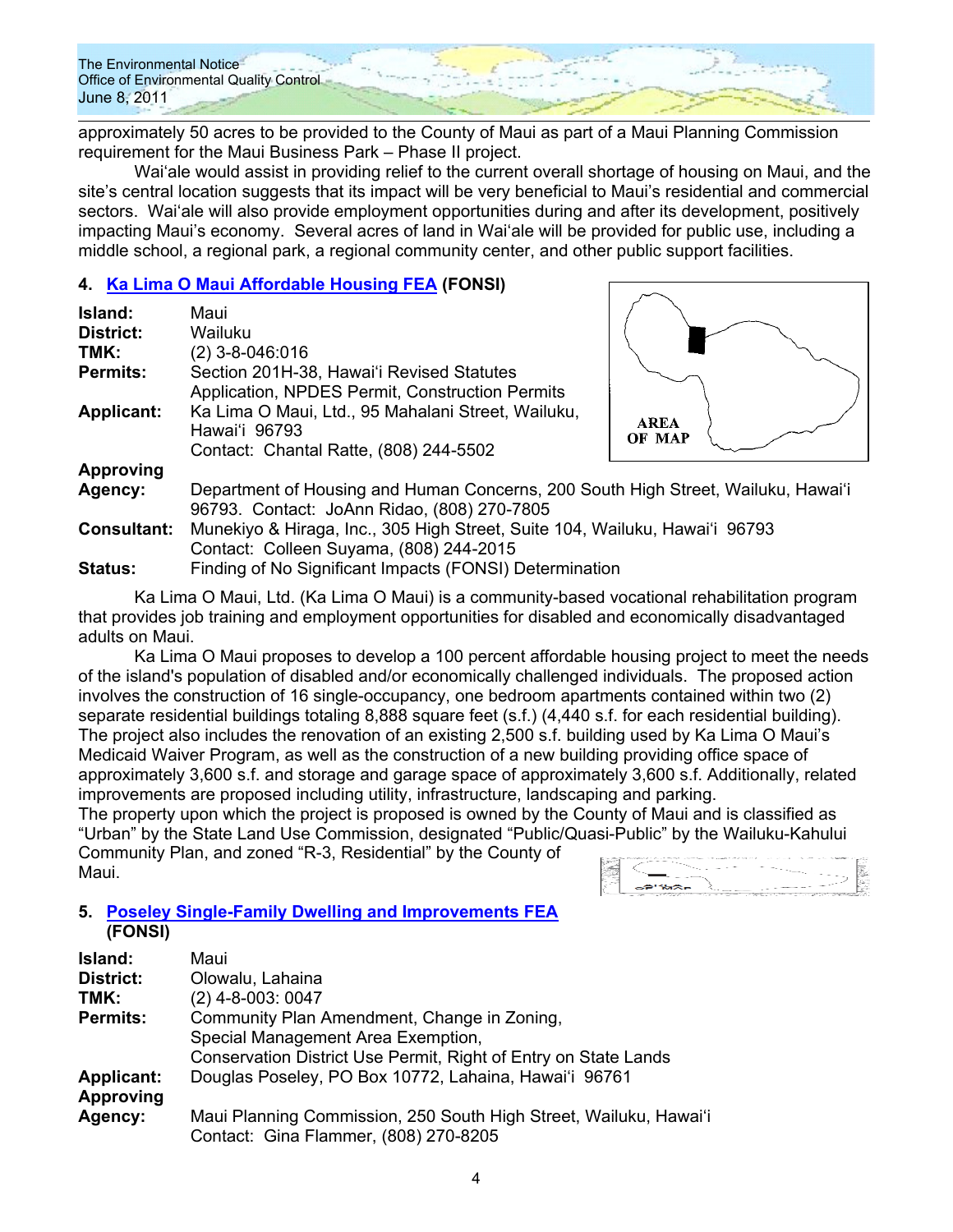approximately 50 acres to be provided to the County of Maui as part of a Maui Planning Commission requirement for the Maui Business Park – Phase II project.

Waiʻale would assist in providing relief to the current overall shortage of housing on Maui, and the site's central location suggests that its impact will be very beneficial to Maui's residential and commercial sectors. Waiʻale will also provide employment opportunities during and after its development, positively impacting Maui's economy. Several acres of land in Waiʻale will be provided for public use, including a middle school, a regional park, a regional community center, and other public support facilities.

### **4. Ka Lima O Maui Affordable Housing FEA (FONSI)**

| Island:            | Maui                                                                              |             |
|--------------------|-----------------------------------------------------------------------------------|-------------|
| District:          | Wailuku                                                                           |             |
| TMK:               | $(2)$ 3-8-046:016                                                                 |             |
| <b>Permits:</b>    | Section 201H-38, Hawai'i Revised Statutes                                         |             |
|                    | Application, NPDES Permit, Construction Permits                                   |             |
| <b>Applicant:</b>  | Ka Lima O Maui, Ltd., 95 Mahalani Street, Wailuku,<br>Hawai'i 96793               | <b>AREA</b> |
|                    | Contact: Chantal Ratte, (808) 244-5502                                            | OF MAP      |
| Approving          |                                                                                   |             |
| Agency:            | Department of Housing and Human Concerns, 200 South High Street, Wailuku, Hawai'i |             |
|                    | 96793. Contact: JoAnn Ridao, (808) 270-7805                                       |             |
| <b>Consultant:</b> | Munekiyo & Hiraga, Inc., 305 High Street, Suite 104, Wailuku, Hawai'i 96793       |             |
|                    | Contact: Colleen Suyama, (808) 244-2015                                           |             |

**Status:** Finding of No Significant Impacts (FONSI) Determination

Ka Lima O Maui, Ltd. (Ka Lima O Maui) is a community-based vocational rehabilitation program that provides job training and employment opportunities for disabled and economically disadvantaged adults on Maui.

Ka Lima O Maui proposes to develop a 100 percent affordable housing project to meet the needs of the island's population of disabled and/or economically challenged individuals. The proposed action involves the construction of 16 single-occupancy, one bedroom apartments contained within two (2) separate residential buildings totaling 8,888 square feet (s.f.) (4,440 s.f. for each residential building). The project also includes the renovation of an existing 2,500 s.f. building used by Ka Lima O Maui's Medicaid Waiver Program, as well as the construction of a new building providing office space of approximately 3,600 s.f. and storage and garage space of approximately 3,600 s.f. Additionally, related improvements are proposed including utility, infrastructure, landscaping and parking.

The property upon which the project is proposed is owned by the County of Maui and is classified as "Urban" by the State Land Use Commission, designated "Public/Quasi-Public" by the Wailuku-Kahului Community Plan, and zoned "R-3, Residential" by the County of Maui.

### **5. Poseley Single-Family Dwelling and Improvements FEA (FONSI)**

| <b>Island:</b>    | Maui                                                              |
|-------------------|-------------------------------------------------------------------|
| <b>District:</b>  | Olowalu, Lahaina                                                  |
| TMK:              | $(2)$ 4-8-003: 0047                                               |
| <b>Permits:</b>   | Community Plan Amendment, Change in Zoning,                       |
|                   | Special Management Area Exemption,                                |
|                   | Conservation District Use Permit, Right of Entry on State Lands   |
| <b>Applicant:</b> | Douglas Poseley, PO Box 10772, Lahaina, Hawai'i 96761             |
| <b>Approving</b>  |                                                                   |
| Agency:           | Maui Planning Commission, 250 South High Street, Wailuku, Hawai'i |
|                   | Contact: Gina Flammer, (808) 270-8205                             |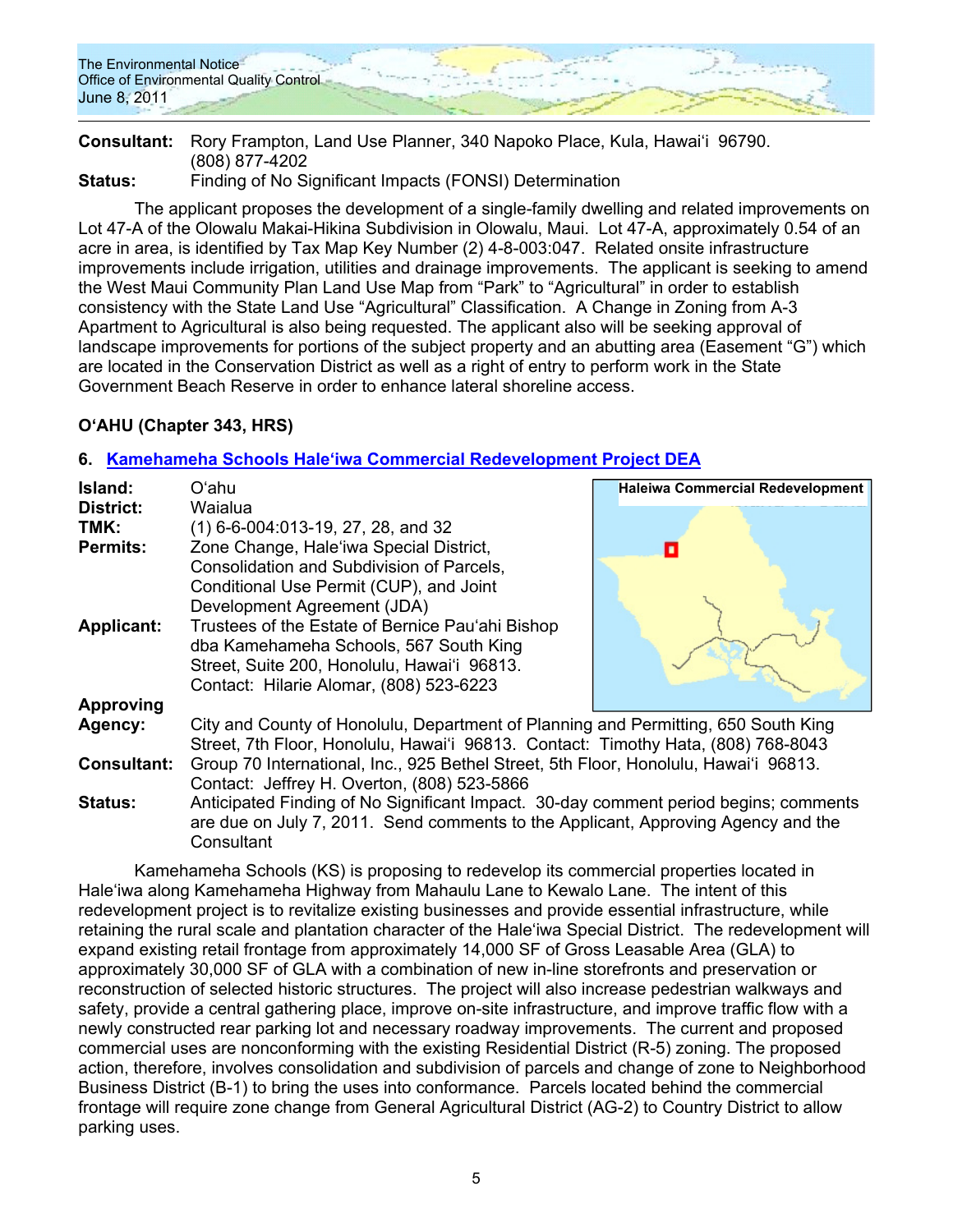

**Consultant:** Rory Frampton, Land Use Planner, 340 Napoko Place, Kula, Hawaiʻi 96790. (808) 877-4202

**Status:** Finding of No Significant Impacts (FONSI) Determination

The applicant proposes the development of a single-family dwelling and related improvements on Lot 47-A of the Olowalu Makai-Hikina Subdivision in Olowalu, Maui. Lot 47-A, approximately 0.54 of an acre in area, is identified by Tax Map Key Number (2) 4-8-003:047. Related onsite infrastructure improvements include irrigation, utilities and drainage improvements. The applicant is seeking to amend the West Maui Community Plan Land Use Map from "Park" to "Agricultural" in order to establish consistency with the State Land Use "Agricultural" Classification. A Change in Zoning from A-3 Apartment to Agricultural is also being requested. The applicant also will be seeking approval of landscape improvements for portions of the subject property and an abutting area (Easement "G") which are located in the Conservation District as well as a right of entry to perform work in the State Government Beach Reserve in order to enhance lateral shoreline access.

# **OʻAHU (Chapter 343, HRS)**

### **6. Kamehameha Schools Haleʻiwa Commercial Redevelopment Project DEA**

| Island:            | Oʻahu                                                                                | <b>Haleiwa Commercial Redevelopment</b> |
|--------------------|--------------------------------------------------------------------------------------|-----------------------------------------|
| District:          | Waialua                                                                              |                                         |
| TMK:               | $(1)$ 6-6-004:013-19, 27, 28, and 32                                                 |                                         |
| <b>Permits:</b>    | Zone Change, Hale'iwa Special District,                                              |                                         |
|                    | Consolidation and Subdivision of Parcels,                                            |                                         |
|                    | Conditional Use Permit (CUP), and Joint                                              |                                         |
|                    | Development Agreement (JDA)                                                          |                                         |
| <b>Applicant:</b>  | Trustees of the Estate of Bernice Pau'ahi Bishop                                     |                                         |
|                    | dba Kamehameha Schools, 567 South King                                               |                                         |
|                    | Street, Suite 200, Honolulu, Hawai'i 96813.                                          |                                         |
|                    | Contact: Hilarie Alomar, (808) 523-6223                                              |                                         |
|                    |                                                                                      |                                         |
| <b>Approving</b>   |                                                                                      |                                         |
| Agency:            | City and County of Honolulu, Department of Planning and Permitting, 650 South King   |                                         |
|                    | Street, 7th Floor, Honolulu, Hawai'i 96813. Contact: Timothy Hata, (808) 768-8043    |                                         |
| <b>Consultant:</b> | Group 70 International, Inc., 925 Bethel Street, 5th Floor, Honolulu, Hawai'i 96813. |                                         |
|                    | Contact: Jeffrey H. Overton, (808) 523-5866                                          |                                         |
| <b>Status:</b>     | Anticipated Finding of No Significant Impact. 30-day comment period begins; comments |                                         |
|                    | are due on July 7, 2011. Send comments to the Applicant, Approving Agency and the    |                                         |
|                    | Consultant                                                                           |                                         |

Kamehameha Schools (KS) is proposing to redevelop its commercial properties located in Haleʻiwa along Kamehameha Highway from Mahaulu Lane to Kewalo Lane. The intent of this redevelopment project is to revitalize existing businesses and provide essential infrastructure, while retaining the rural scale and plantation character of the Haleʻiwa Special District. The redevelopment will expand existing retail frontage from approximately 14,000 SF of Gross Leasable Area (GLA) to approximately 30,000 SF of GLA with a combination of new in-line storefronts and preservation or reconstruction of selected historic structures. The project will also increase pedestrian walkways and safety, provide a central gathering place, improve on-site infrastructure, and improve traffic flow with a newly constructed rear parking lot and necessary roadway improvements. The current and proposed commercial uses are nonconforming with the existing Residential District (R-5) zoning. The proposed action, therefore, involves consolidation and subdivision of parcels and change of zone to Neighborhood Business District (B-1) to bring the uses into conformance. Parcels located behind the commercial frontage will require zone change from General Agricultural District (AG-2) to Country District to allow parking uses.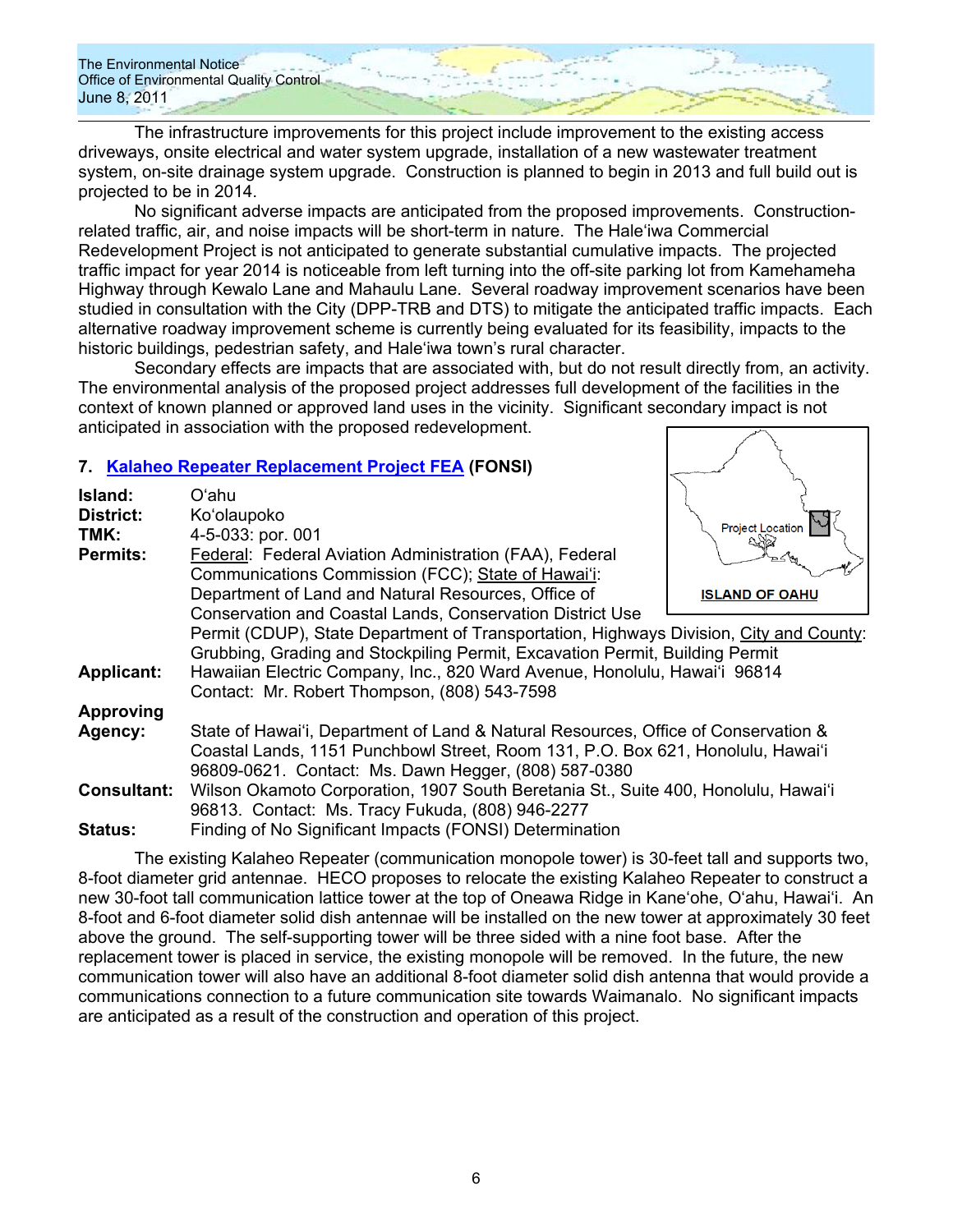The infrastructure improvements for this project include improvement to the existing access driveways, onsite electrical and water system upgrade, installation of a new wastewater treatment system, on-site drainage system upgrade. Construction is planned to begin in 2013 and full build out is projected to be in 2014.

No significant adverse impacts are anticipated from the proposed improvements. Constructionrelated traffic, air, and noise impacts will be short-term in nature. The Haleʻiwa Commercial Redevelopment Project is not anticipated to generate substantial cumulative impacts. The projected traffic impact for year 2014 is noticeable from left turning into the off-site parking lot from Kamehameha Highway through Kewalo Lane and Mahaulu Lane. Several roadway improvement scenarios have been studied in consultation with the City (DPP-TRB and DTS) to mitigate the anticipated traffic impacts. Each alternative roadway improvement scheme is currently being evaluated for its feasibility, impacts to the historic buildings, pedestrian safety, and Haleʻiwa town's rural character.

Secondary effects are impacts that are associated with, but do not result directly from, an activity. The environmental analysis of the proposed project addresses full development of the facilities in the context of known planned or approved land uses in the vicinity. Significant secondary impact is not anticipated in association with the proposed redevelopment.

### **7. Kalaheo Repeater Replacement Project FEA (FONSI)**

| Island:            | Oʻahu                                                                                  |                         |
|--------------------|----------------------------------------------------------------------------------------|-------------------------|
| <b>District:</b>   | Ko'olaupoko                                                                            | <b>Project Location</b> |
| TMK:               | 4-5-033: por. 001                                                                      |                         |
| <b>Permits:</b>    | Federal: Federal Aviation Administration (FAA), Federal                                |                         |
|                    | Communications Commission (FCC); State of Hawai'i:                                     |                         |
|                    | Department of Land and Natural Resources, Office of                                    | <b>ISLAND OF OAHU</b>   |
|                    | <b>Conservation and Coastal Lands, Conservation District Use</b>                       |                         |
|                    | Permit (CDUP), State Department of Transportation, Highways Division, City and County: |                         |
|                    | Grubbing, Grading and Stockpiling Permit, Excavation Permit, Building Permit           |                         |
| <b>Applicant:</b>  | Hawaiian Electric Company, Inc., 820 Ward Avenue, Honolulu, Hawai'i 96814              |                         |
|                    | Contact: Mr. Robert Thompson, (808) 543-7598                                           |                         |
| <b>Approving</b>   |                                                                                        |                         |
| Agency:            | State of Hawai'i, Department of Land & Natural Resources, Office of Conservation &     |                         |
|                    | Coastal Lands, 1151 Punchbowl Street, Room 131, P.O. Box 621, Honolulu, Hawai'i        |                         |
|                    | 96809-0621. Contact: Ms. Dawn Hegger, (808) 587-0380                                   |                         |
| <b>Consultant:</b> | Wilson Okamoto Corporation, 1907 South Beretania St., Suite 400, Honolulu, Hawai'i     |                         |
|                    | 96813. Contact: Ms. Tracy Fukuda, (808) 946-2277                                       |                         |
|                    |                                                                                        |                         |
| <b>Status:</b>     | Finding of No Significant Impacts (FONSI) Determination                                |                         |

The existing Kalaheo Repeater (communication monopole tower) is 30-feet tall and supports two, 8-foot diameter grid antennae. HECO proposes to relocate the existing Kalaheo Repeater to construct a new 30-foot tall communication lattice tower at the top of Oneawa Ridge in Kaneʻohe, Oʻahu, Hawaiʻi. An 8-foot and 6-foot diameter solid dish antennae will be installed on the new tower at approximately 30 feet above the ground. The self-supporting tower will be three sided with a nine foot base. After the replacement tower is placed in service, the existing monopole will be removed. In the future, the new communication tower will also have an additional 8-foot diameter solid dish antenna that would provide a communications connection to a future communication site towards Waimanalo. No significant impacts are anticipated as a result of the construction and operation of this project.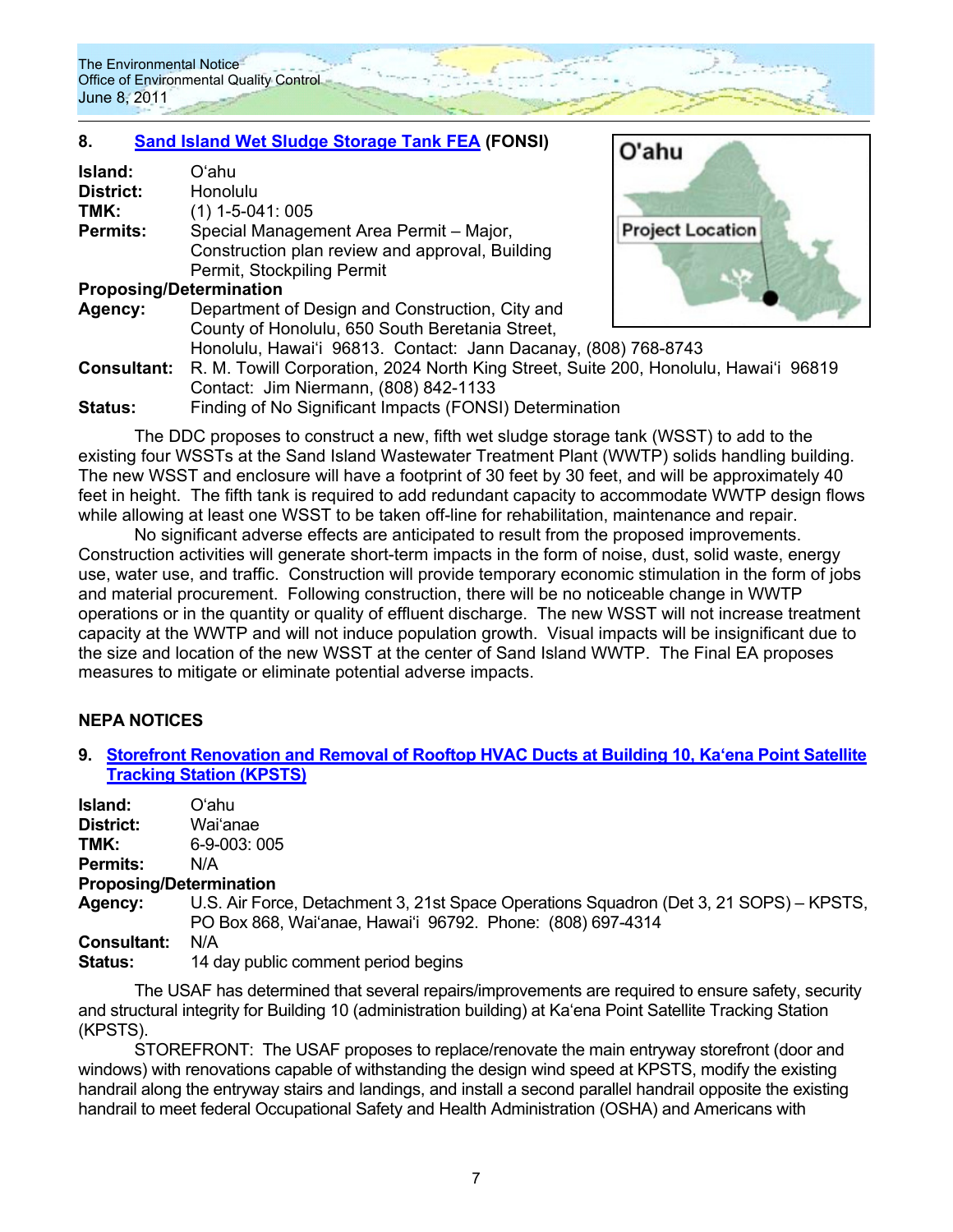# **8. Sand Island Wet Sludge Storage Tank FEA (FONSI)**

| Island:<br>District:<br>TMK:   | Oʻahu<br>Honolulu<br>$(1)$ 1-5-041: 005                                              |                         |
|--------------------------------|--------------------------------------------------------------------------------------|-------------------------|
| <b>Permits:</b>                | Special Management Area Permit - Major,                                              | <b>Project Location</b> |
|                                | Construction plan review and approval, Building                                      |                         |
|                                | Permit, Stockpiling Permit                                                           |                         |
| <b>Proposing/Determination</b> |                                                                                      |                         |
| Agency:                        | Department of Design and Construction, City and                                      |                         |
|                                | County of Honolulu, 650 South Beretania Street,                                      |                         |
|                                | Honolulu, Hawai'i 96813. Contact: Jann Dacanay, (808) 768-8743                       |                         |
| <b>Consultant:</b>             | R. M. Towill Corporation, 2024 North King Street, Suite 200, Honolulu, Hawai'i 96819 |                         |
|                                | Contact: Jim Niermann, (808) 842-1133                                                |                         |
| <b>Status:</b>                 | Finding of No Significant Impacts (FONSI) Determination                              |                         |

 $O'$ ahu

The DDC proposes to construct a new, fifth wet sludge storage tank (WSST) to add to the existing four WSSTs at the Sand Island Wastewater Treatment Plant (WWTP) solids handling building. The new WSST and enclosure will have a footprint of 30 feet by 30 feet, and will be approximately 40 feet in height. The fifth tank is required to add redundant capacity to accommodate WWTP design flows while allowing at least one WSST to be taken off-line for rehabilitation, maintenance and repair.

No significant adverse effects are anticipated to result from the proposed improvements. Construction activities will generate short-term impacts in the form of noise, dust, solid waste, energy use, water use, and traffic. Construction will provide temporary economic stimulation in the form of jobs and material procurement. Following construction, there will be no noticeable change in WWTP operations or in the quantity or quality of effluent discharge. The new WSST will not increase treatment capacity at the WWTP and will not induce population growth. Visual impacts will be insignificant due to the size and location of the new WSST at the center of Sand Island WWTP. The Final EA proposes measures to mitigate or eliminate potential adverse impacts.

# **NEPA NOTICES**

**9. Storefront Renovation and Removal of Rooftop HVAC Ducts at Building 10, Kaʻena Point Satellite Tracking Station (KPSTS)**

| Island:   | Oʻahu    |
|-----------|----------|
| District: | Wai'anae |

- **TMK:** 6-9-003: 005
- **Permits:** N/A

### **Proposing/Determination**

**Agency:** U.S. Air Force, Detachment 3, 21st Space Operations Squadron (Det 3, 21 SOPS) – KPSTS, PO Box 868, Waiʻanae, Hawaiʻi 96792. Phone: (808) 697-4314

**Consultant:** N/A

**Status:** 14 day public comment period begins

The USAF has determined that several repairs/improvements are required to ensure safety, security and structural integrity for Building 10 (administration building) at Kaʻena Point Satellite Tracking Station (KPSTS).

STOREFRONT: The USAF proposes to replace/renovate the main entryway storefront (door and windows) with renovations capable of withstanding the design wind speed at KPSTS, modify the existing handrail along the entryway stairs and landings, and install a second parallel handrail opposite the existing handrail to meet federal Occupational Safety and Health Administration (OSHA) and Americans with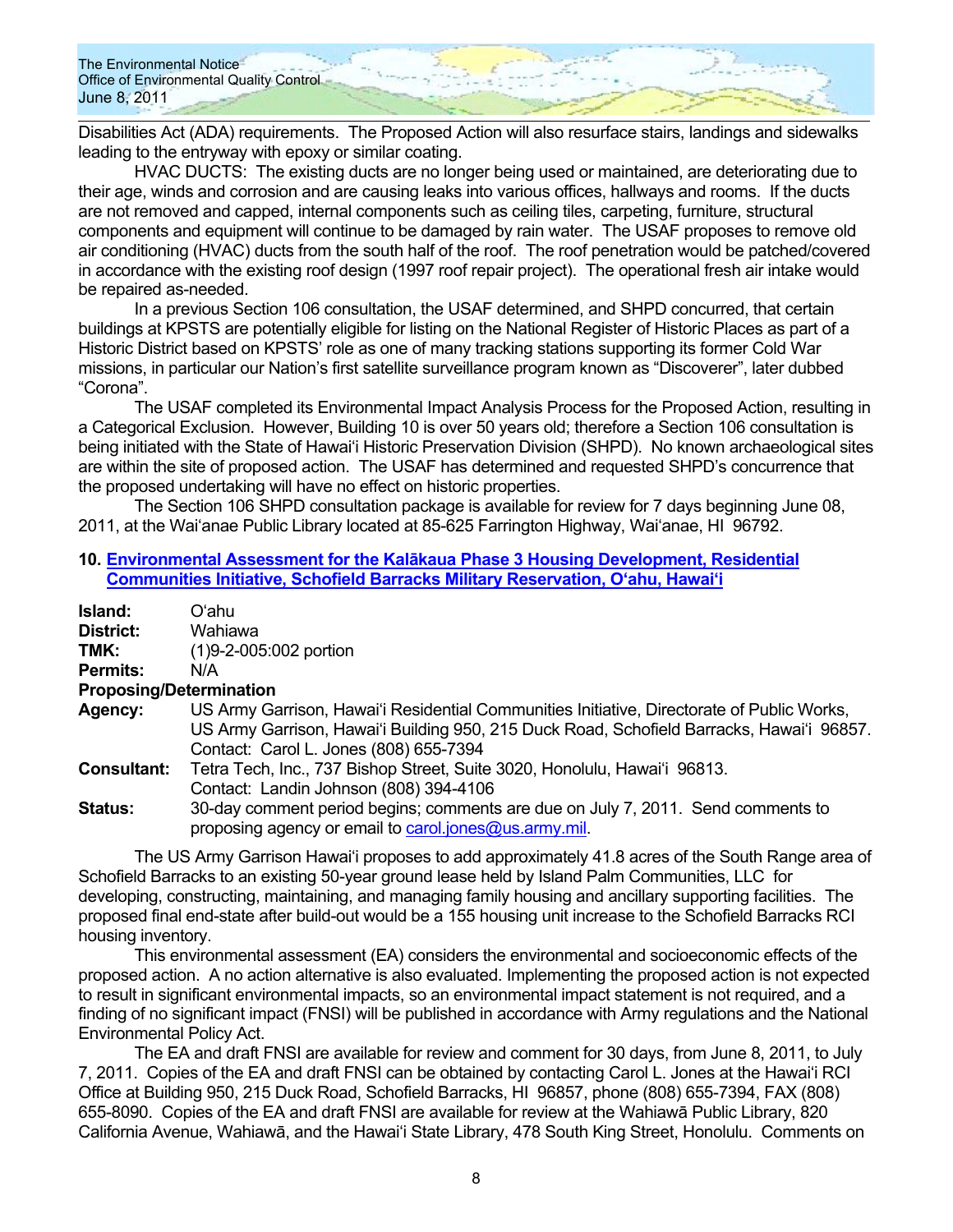Disabilities Act (ADA) requirements. The Proposed Action will also resurface stairs, landings and sidewalks leading to the entryway with epoxy or similar coating.

HVAC DUCTS: The existing ducts are no longer being used or maintained, are deteriorating due to their age, winds and corrosion and are causing leaks into various offices, hallways and rooms. If the ducts are not removed and capped, internal components such as ceiling tiles, carpeting, furniture, structural components and equipment will continue to be damaged by rain water. The USAF proposes to remove old air conditioning (HVAC) ducts from the south half of the roof. The roof penetration would be patched/covered in accordance with the existing roof design (1997 roof repair project). The operational fresh air intake would be repaired as-needed.

In a previous Section 106 consultation, the USAF determined, and SHPD concurred, that certain buildings at KPSTS are potentially eligible for listing on the National Register of Historic Places as part of a Historic District based on KPSTS' role as one of many tracking stations supporting its former Cold War missions, in particular our Nation's first satellite surveillance program known as "Discoverer", later dubbed "Corona".

The USAF completed its Environmental Impact Analysis Process for the Proposed Action, resulting in a Categorical Exclusion. However, Building 10 is over 50 years old; therefore a Section 106 consultation is being initiated with the State of Hawaiʻi Historic Preservation Division (SHPD). No known archaeological sites are within the site of proposed action. The USAF has determined and requested SHPD's concurrence that the proposed undertaking will have no effect on historic properties.

The Section 106 SHPD consultation package is available for review for 7 days beginning June 08, 2011, at the Waiʻanae Public Library located at 85-625 Farrington Highway, Waiʻanae, HI 96792.

#### **10. Environmental Assessment for the Kalākaua Phase 3 Housing Development, Residential Communities Initiative, Schofield Barracks Military Reservation, O'ahu, Hawai'i**

| Island:         | Oʻahu                                                                           |
|-----------------|---------------------------------------------------------------------------------|
| District:       | Wahiawa                                                                         |
| TMK:            | (1)9-2-005:002 portion                                                          |
| <b>Permits:</b> | N/A                                                                             |
|                 | $D_{\text{max}}$ and $D_{\text{max}}$ and $D_{\text{max}}$ and $D_{\text{max}}$ |

#### **Proposing/Determination Agency:** US Army Garrison, Hawai'i Residential Communities Initiative, Directorate of Public Works, US Army Garrison, Hawai'i Building 950, 215 Duck Road, Schofield Barracks, Hawai'i 96857. Contact: Carol L. Jones (808) 655-7394

**Consultant:** Tetra Tech, Inc., 737 Bishop Street, Suite 3020, Honolulu, Hawaiʻi 96813. Contact: Landin Johnson (808) 394-4106

**Status:** 30-day comment period begins; comments are due on July 7, 2011. Send comments to proposing agency or email to carol.jones@us.army.mil.

The US Army Garrison Hawai'i proposes to add approximately 41.8 acres of the South Range area of Schofield Barracks to an existing 50-year ground lease held by Island Palm Communities, LLC for developing, constructing, maintaining, and managing family housing and ancillary supporting facilities. The proposed final end-state after build-out would be a 155 housing unit increase to the Schofield Barracks RCI housing inventory.

This environmental assessment (EA) considers the environmental and socioeconomic effects of the proposed action. A no action alternative is also evaluated. Implementing the proposed action is not expected to result in significant environmental impacts, so an environmental impact statement is not required, and a finding of no significant impact (FNSI) will be published in accordance with Army regulations and the National Environmental Policy Act.

The EA and draft FNSI are available for review and comment for 30 days, from June 8, 2011, to July 7, 2011. Copies of the EA and draft FNSI can be obtained by contacting Carol L. Jones at the Hawai'i RCI Office at Building 950, 215 Duck Road, Schofield Barracks, HI 96857, phone (808) 655-7394, FAX (808) 655-8090. Copies of the EA and draft FNSI are available for review at the Wahiawā Public Library, 820 California Avenue, Wahiawā, and the Hawai'i State Library, 478 South King Street, Honolulu. Comments on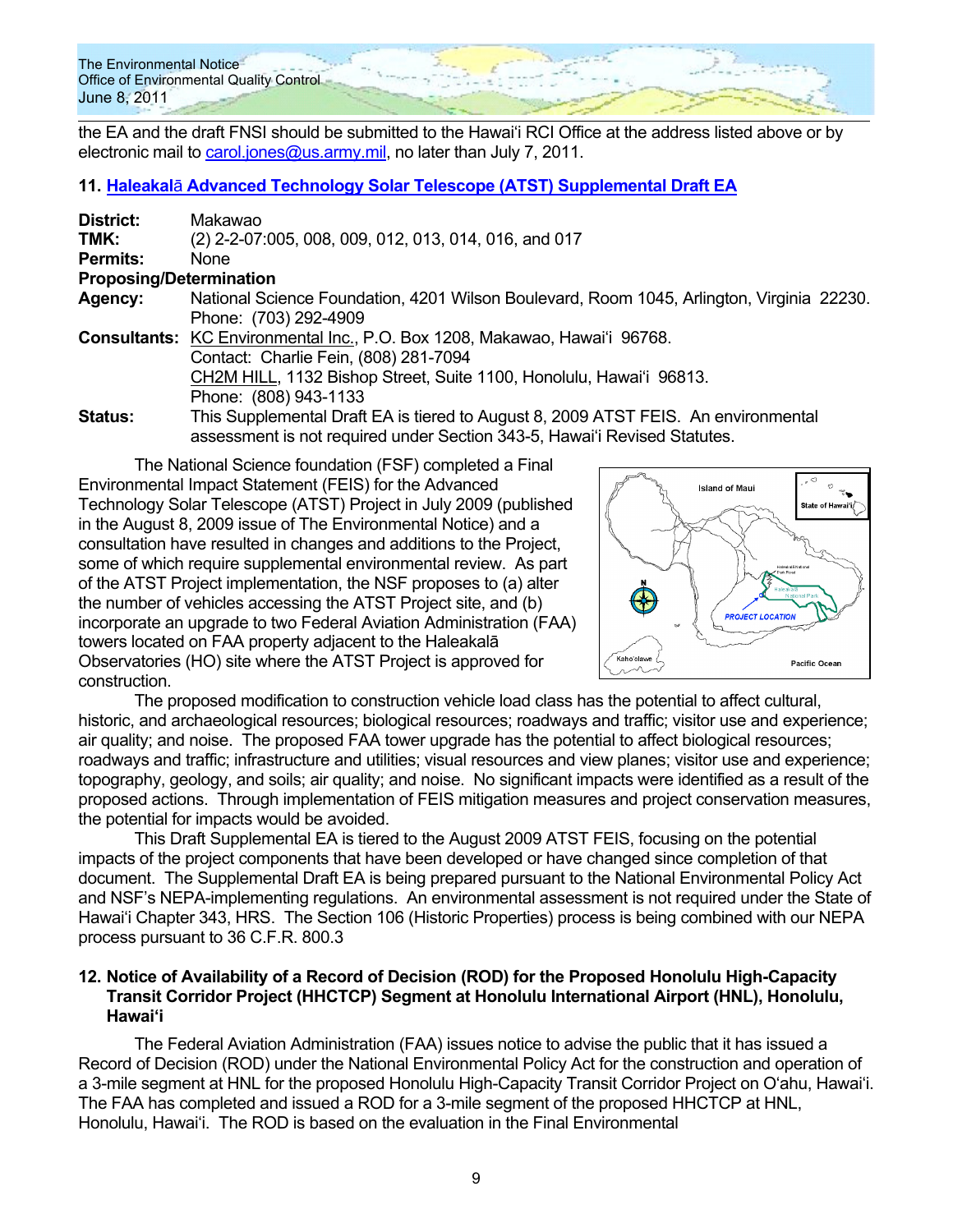the EA and the draft FNSI should be submitted to the Hawai'i RCI Office at the address listed above or by electronic mail to carol.jones@us.army.mil, no later than July 7, 2011.

#### **11. Haleakal**ā **Advanced Technology Solar Telescope (ATST) Supplemental Draft EA**

| District:                      | Makawao                                                                                   |
|--------------------------------|-------------------------------------------------------------------------------------------|
| TMK:                           | (2) 2-2-07:005, 008, 009, 012, 013, 014, 016, and 017                                     |
| <b>Permits:</b>                | <b>None</b>                                                                               |
| <b>Proposing/Determination</b> |                                                                                           |
| Agency:                        | National Science Foundation, 4201 Wilson Boulevard, Room 1045, Arlington, Virginia 22230. |
|                                | Phone: (703) 292-4909                                                                     |
|                                | <b>Consultants:</b> KC Environmental Inc., P.O. Box 1208, Makawao, Hawai'i 96768.         |
|                                | Contact: Charlie Fein, (808) 281-7094                                                     |
|                                | CH2M HILL, 1132 Bishop Street, Suite 1100, Honolulu, Hawai'i 96813.                       |
|                                | Phone: (808) 943-1133                                                                     |
| <b>Status:</b>                 | This Supplemental Draft EA is tiered to August 8, 2009 ATST FEIS. An environmental        |
|                                | assessment is not required under Section 343-5, Hawai'i Revised Statutes.                 |

The National Science foundation (FSF) completed a Final Environmental Impact Statement (FEIS) for the Advanced Technology Solar Telescope (ATST) Project in July 2009 (published in the August 8, 2009 issue of The Environmental Notice) and a consultation have resulted in changes and additions to the Project, some of which require supplemental environmental review. As part of the ATST Project implementation, the NSF proposes to (a) alter the number of vehicles accessing the ATST Project site, and (b) incorporate an upgrade to two Federal Aviation Administration (FAA) towers located on FAA property adjacent to the Haleakalā Observatories (HO) site where the ATST Project is approved for construction.



The proposed modification to construction vehicle load class has the potential to affect cultural, historic, and archaeological resources; biological resources; roadways and traffic; visitor use and experience; air quality; and noise. The proposed FAA tower upgrade has the potential to affect biological resources; roadways and traffic; infrastructure and utilities; visual resources and view planes; visitor use and experience; topography, geology, and soils; air quality; and noise. No significant impacts were identified as a result of the proposed actions. Through implementation of FEIS mitigation measures and project conservation measures, the potential for impacts would be avoided.

This Draft Supplemental EA is tiered to the August 2009 ATST FEIS, focusing on the potential impacts of the project components that have been developed or have changed since completion of that document. The Supplemental Draft EA is being prepared pursuant to the National Environmental Policy Act and NSF's NEPA-implementing regulations. An environmental assessment is not required under the State of Hawaiʻi Chapter 343, HRS. The Section 106 (Historic Properties) process is being combined with our NEPA process pursuant to 36 C.F.R. 800.3

#### **12. Notice of Availability of a Record of Decision (ROD) for the Proposed Honolulu High-Capacity Transit Corridor Project (HHCTCP) Segment at Honolulu International Airport (HNL), Honolulu, Hawaiʻi**

The Federal Aviation Administration (FAA) issues notice to advise the public that it has issued a Record of Decision (ROD) under the National Environmental Policy Act for the construction and operation of a 3-mile segment at HNL for the proposed Honolulu High-Capacity Transit Corridor Project on Oʻahu, Hawaiʻi. The FAA has completed and issued a ROD for a 3-mile segment of the proposed HHCTCP at HNL, Honolulu, Hawaiʻi. The ROD is based on the evaluation in the Final Environmental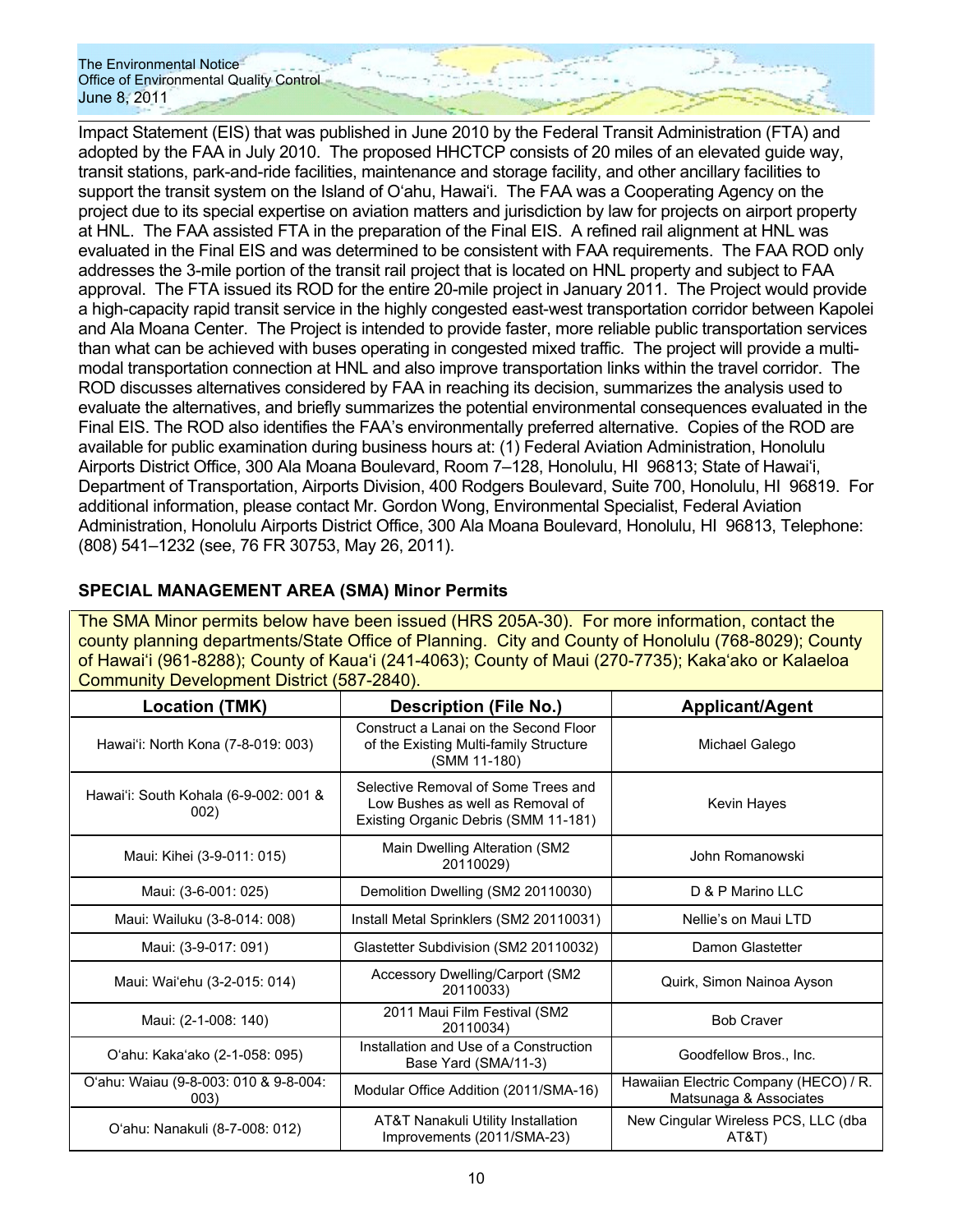Impact Statement (EIS) that was published in June 2010 by the Federal Transit Administration (FTA) and adopted by the FAA in July 2010. The proposed HHCTCP consists of 20 miles of an elevated guide way, transit stations, park-and-ride facilities, maintenance and storage facility, and other ancillary facilities to support the transit system on the Island of Oʻahu, Hawaiʻi. The FAA was a Cooperating Agency on the project due to its special expertise on aviation matters and jurisdiction by law for projects on airport property at HNL. The FAA assisted FTA in the preparation of the Final EIS. A refined rail alignment at HNL was evaluated in the Final EIS and was determined to be consistent with FAA requirements. The FAA ROD only addresses the 3-mile portion of the transit rail project that is located on HNL property and subject to FAA approval. The FTA issued its ROD for the entire 20-mile project in January 2011. The Project would provide a high-capacity rapid transit service in the highly congested east-west transportation corridor between Kapolei and Ala Moana Center. The Project is intended to provide faster, more reliable public transportation services than what can be achieved with buses operating in congested mixed traffic. The project will provide a multimodal transportation connection at HNL and also improve transportation links within the travel corridor. The ROD discusses alternatives considered by FAA in reaching its decision, summarizes the analysis used to evaluate the alternatives, and briefly summarizes the potential environmental consequences evaluated in the Final EIS. The ROD also identifies the FAA's environmentally preferred alternative. Copies of the ROD are available for public examination during business hours at: (1) Federal Aviation Administration, Honolulu Airports District Office, 300 Ala Moana Boulevard, Room 7–128, Honolulu, HI 96813; State of Hawaiʻi, Department of Transportation, Airports Division, 400 Rodgers Boulevard, Suite 700, Honolulu, HI 96819. For additional information, please contact Mr. Gordon Wong, Environmental Specialist, Federal Aviation Administration, Honolulu Airports District Office, 300 Ala Moana Boulevard, Honolulu, HI 96813, Telephone: (808) 541–1232 (see, 76 FR 30753, May 26, 2011).

| <b>SPECIAL MANAGEMENT AREA (SMA) Minor Permits</b> |  |
|----------------------------------------------------|--|
|----------------------------------------------------|--|

The SMA Minor permits below have been issued (HRS 205A-30). For more information, contact the county planning departments/State Office of Planning. City and County of Honolulu (768-8029); County of Hawaiʻi (961-8288); County of Kauaʻi (241-4063); County of Maui (270-7735); Kakaʻako or Kalaeloa Community Development District (587-2840).

| Location (TMK)                                | <b>Description (File No.)</b>                                                                                   | <b>Applicant/Agent</b>                                          |  |
|-----------------------------------------------|-----------------------------------------------------------------------------------------------------------------|-----------------------------------------------------------------|--|
| Hawai'i: North Kona (7-8-019: 003)            | Construct a Lanai on the Second Floor<br>of the Existing Multi-family Structure<br>(SMM 11-180)                 | Michael Galego                                                  |  |
| Hawai'i: South Kohala (6-9-002: 001 &<br>002) | Selective Removal of Some Trees and<br>Low Bushes as well as Removal of<br>Existing Organic Debris (SMM 11-181) | Kevin Hayes                                                     |  |
| Maui: Kihei (3-9-011: 015)                    | Main Dwelling Alteration (SM2<br>20110029)                                                                      | John Romanowski                                                 |  |
| Maui: (3-6-001: 025)                          | Demolition Dwelling (SM2 20110030)                                                                              | D & P Marino LLC                                                |  |
| Maui: Wailuku (3-8-014: 008)                  | Install Metal Sprinklers (SM2 20110031)                                                                         | Nellie's on Maui LTD                                            |  |
| Maui: (3-9-017: 091)                          | Glastetter Subdivision (SM2 20110032)                                                                           | Damon Glastetter                                                |  |
| Maui: Wai'ehu (3-2-015: 014)                  | Accessory Dwelling/Carport (SM2<br>20110033)                                                                    | Quirk, Simon Nainoa Ayson                                       |  |
| Maui: (2-1-008: 140)                          | 2011 Maui Film Festival (SM2<br>20110034)                                                                       | <b>Bob Craver</b>                                               |  |
| O'ahu: Kaka'ako (2-1-058: 095)                | Installation and Use of a Construction<br>Base Yard (SMA/11-3)                                                  | Goodfellow Bros., Inc.                                          |  |
| O'ahu: Waiau (9-8-003: 010 & 9-8-004:<br>003) | Modular Office Addition (2011/SMA-16)                                                                           | Hawaiian Electric Company (HECO) / R.<br>Matsunaga & Associates |  |
| O'ahu: Nanakuli (8-7-008: 012)                | AT&T Nanakuli Utility Installation<br>Improvements (2011/SMA-23)                                                | New Cingular Wireless PCS, LLC (dba<br>AT&T)                    |  |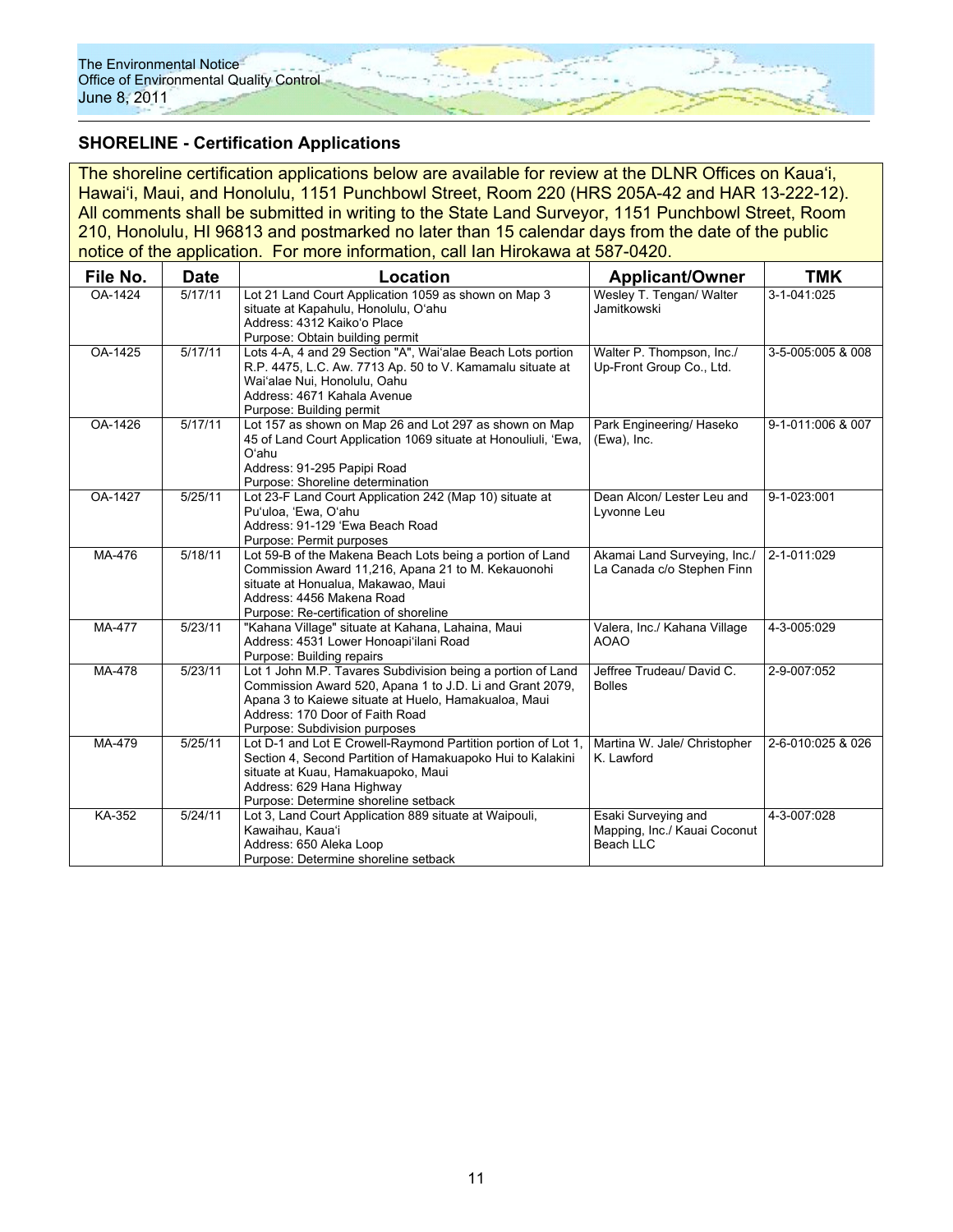### **SHORELINE - Certification Applications**

The shoreline certification applications below are available for review at the DLNR Offices on Kauaʻi, Hawaiʻi, Maui, and Honolulu, 1151 Punchbowl Street, Room 220 (HRS 205A-42 and HAR 13-222-12). All comments shall be submitted in writing to the State Land Surveyor, 1151 Punchbowl Street, Room 210, Honolulu, HI 96813 and postmarked no later than 15 calendar days from the date of the public notice of the application. For more information, call Ian Hirokawa at 587-0420.

| File No. | <b>Date</b> | Location                                                                                                                                                                                                                                            | <b>Applicant/Owner</b>                                           | <b>TMK</b>        |  |
|----------|-------------|-----------------------------------------------------------------------------------------------------------------------------------------------------------------------------------------------------------------------------------------------------|------------------------------------------------------------------|-------------------|--|
| OA-1424  | 5/17/11     | Lot 21 Land Court Application 1059 as shown on Map 3<br>situate at Kapahulu, Honolulu, O'ahu<br>Address: 4312 Kaiko'o Place<br>Purpose: Obtain building permit                                                                                      | 3-1-041:025                                                      |                   |  |
| OA-1425  | 5/17/11     | Lots 4-A, 4 and 29 Section "A", Wai'alae Beach Lots portion<br>R.P. 4475, L.C. Aw. 7713 Ap. 50 to V. Kamamalu situate at<br>Wai'alae Nui. Honolulu. Oahu<br>Address: 4671 Kahala Avenue<br>Purpose: Building permit                                 | Walter P. Thompson, Inc./<br>Up-Front Group Co., Ltd.            | 3-5-005:005 & 008 |  |
| OA-1426  | 5/17/11     | Lot 157 as shown on Map 26 and Lot 297 as shown on Map<br>45 of Land Court Application 1069 situate at Honouliuli, 'Ewa,<br>Oʻahu<br>Address: 91-295 Papipi Road<br>Purpose: Shoreline determination                                                | Park Engineering/ Haseko<br>(Ewa), Inc.                          | 9-1-011:006 & 007 |  |
| OA-1427  | 5/25/11     | Lot 23-F Land Court Application 242 (Map 10) situate at<br>Pu'uloa, 'Ewa, O'ahu<br>Address: 91-129 'Ewa Beach Road<br>Purpose: Permit purposes                                                                                                      | Dean Alcon/ Lester Leu and<br>Lyvonne Leu                        | 9-1-023:001       |  |
| MA-476   | 5/18/11     | Lot 59-B of the Makena Beach Lots being a portion of Land<br>Commission Award 11,216, Apana 21 to M. Kekauonohi<br>situate at Honualua, Makawao, Maui<br>Address: 4456 Makena Road<br>Purpose: Re-certification of shoreline                        | Akamai Land Surveying, Inc./<br>La Canada c/o Stephen Finn       | 2-1-011:029       |  |
| MA-477   | 5/23/11     | "Kahana Village" situate at Kahana, Lahaina, Maui<br>Address: 4531 Lower Honoapi'ilani Road<br>Purpose: Building repairs                                                                                                                            | Valera, Inc./ Kahana Village<br><b>AOAO</b>                      | 4-3-005:029       |  |
| MA-478   | 5/23/11     | Lot 1 John M.P. Tavares Subdivision being a portion of Land<br>Commission Award 520, Apana 1 to J.D. Li and Grant 2079,<br>Apana 3 to Kaiewe situate at Huelo, Hamakualoa, Maui<br>Address: 170 Door of Faith Road<br>Purpose: Subdivision purposes | Jeffree Trudeau/ David C.<br><b>Bolles</b>                       | 2-9-007:052       |  |
| MA-479   | 5/25/11     | Lot D-1 and Lot E Crowell-Raymond Partition portion of Lot 1,<br>Section 4, Second Partition of Hamakuapoko Hui to Kalakini<br>situate at Kuau, Hamakuapoko, Maui<br>Address: 629 Hana Highway<br>Purpose: Determine shoreline setback              | Martina W. Jale/ Christopher<br>K. Lawford                       | 2-6-010:025 & 026 |  |
| KA-352   | 5/24/11     | Lot 3, Land Court Application 889 situate at Waipouli,<br>Kawaihau, Kaua'i<br>Address: 650 Aleka Loop<br>Purpose: Determine shoreline setback                                                                                                       | Esaki Surveying and<br>Mapping, Inc./ Kauai Coconut<br>Beach LLC | 4-3-007:028       |  |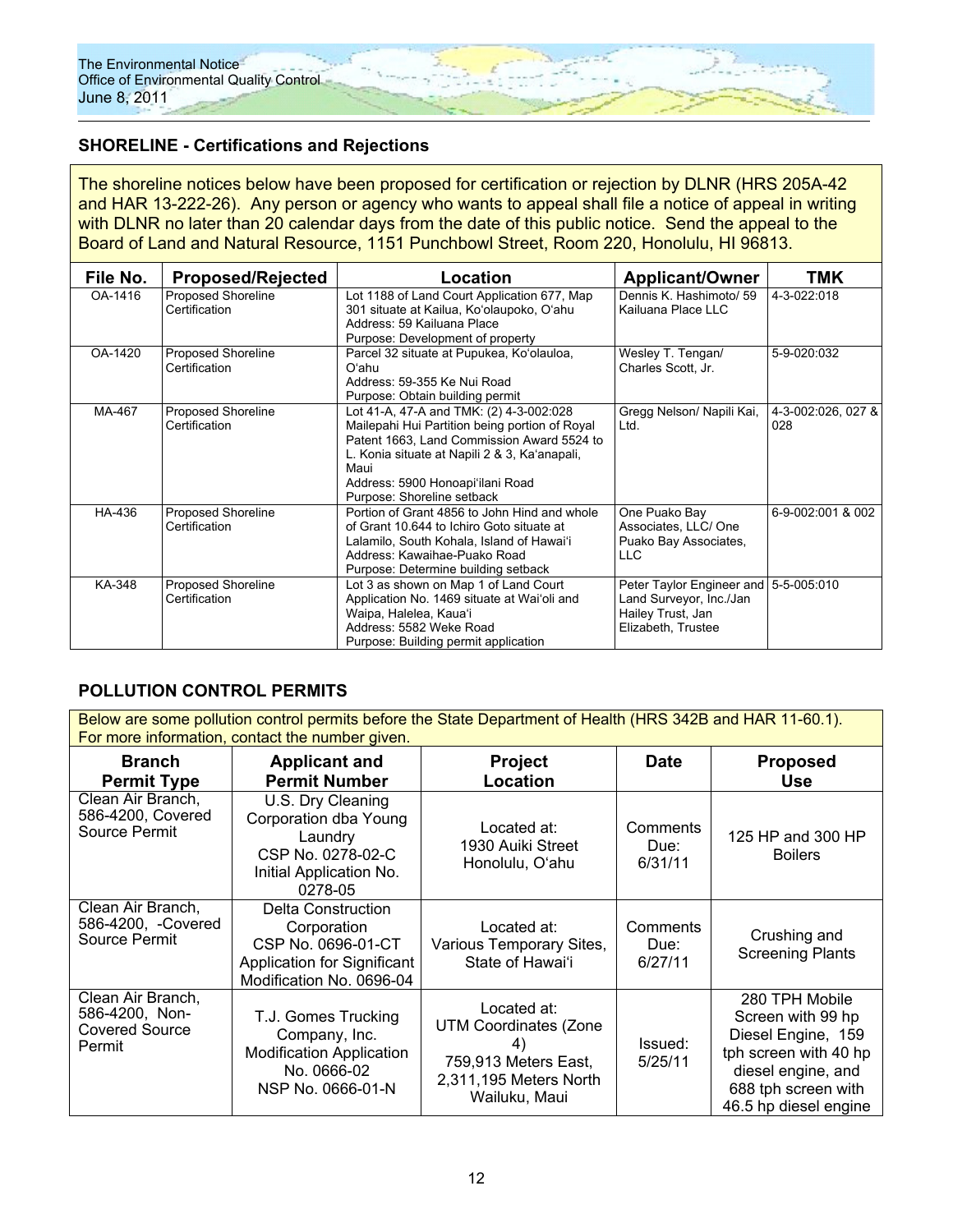### **SHORELINE - Certifications and Rejections**

The shoreline notices below have been proposed for certification or rejection by DLNR (HRS 205A-42 and HAR 13-222-26). Any person or agency who wants to appeal shall file a notice of appeal in writing with DLNR no later than 20 calendar days from the date of this public notice. Send the appeal to the Board of Land and Natural Resource, 1151 Punchbowl Street, Room 220, Honolulu, HI 96813.

| File No. | <b>Proposed/Rejected</b>                   | Location                                                                                                                                                                                                                                                           | <b>Applicant/Owner</b>                                                                                      | TMK                       |
|----------|--------------------------------------------|--------------------------------------------------------------------------------------------------------------------------------------------------------------------------------------------------------------------------------------------------------------------|-------------------------------------------------------------------------------------------------------------|---------------------------|
| OA-1416  | <b>Proposed Shoreline</b><br>Certification | Lot 1188 of Land Court Application 677, Map<br>301 situate at Kailua, Ko'olaupoko, O'ahu<br>Address: 59 Kailuana Place<br>Purpose: Development of property                                                                                                         | Dennis K. Hashimoto/ 59<br>Kailuana Place LLC                                                               | 4-3-022:018               |
| OA-1420  | <b>Proposed Shoreline</b><br>Certification | Parcel 32 situate at Pupukea, Ko'olauloa,<br>Oʻahu<br>Address: 59-355 Ke Nui Road<br>Purpose: Obtain building permit                                                                                                                                               | Wesley T. Tengan/<br>Charles Scott, Jr.                                                                     | 5-9-020:032               |
| MA-467   | Proposed Shoreline<br>Certification        | Lot 41-A, 47-A and TMK: (2) 4-3-002:028<br>Mailepahi Hui Partition being portion of Royal<br>Patent 1663, Land Commission Award 5524 to<br>L. Konia situate at Napili 2 & 3, Ka'anapali,<br>Maui<br>Address: 5900 Honoapi'ilani Road<br>Purpose: Shoreline setback | Gregg Nelson/ Napili Kai,<br>Ltd.                                                                           | 4-3-002:026, 027 &<br>028 |
| HA-436   | <b>Proposed Shoreline</b><br>Certification | Portion of Grant 4856 to John Hind and whole<br>of Grant 10.644 to Ichiro Goto situate at<br>Lalamilo, South Kohala, Island of Hawai'i<br>Address: Kawaihae-Puako Road<br>Purpose: Determine building setback                                                      | One Puako Bay<br>Associates, LLC/One<br>Puako Bay Associates,<br>LLC                                        | 6-9-002:001 & 002         |
| KA-348   | <b>Proposed Shoreline</b><br>Certification | Lot 3 as shown on Map 1 of Land Court<br>Application No. 1469 situate at Wai'oli and<br>Waipa, Halelea, Kaua'i<br>Address: 5582 Weke Road<br>Purpose: Building permit application                                                                                  | Peter Taylor Engineer and 5-5-005:010<br>Land Surveyor, Inc./Jan<br>Hailey Trust, Jan<br>Elizabeth, Trustee |                           |

# **POLLUTION CONTROL PERMITS**

Below are some pollution control permits before the State Department of Health (HRS 342B and HAR 11-60.1). For more information, contact the number given.

| <b>Branch</b><br><b>Permit Type</b>                                    | <b>Applicant and</b><br><b>Permit Number</b>                                                                              | <b>Project</b><br>Location                                                                                           | <b>Date</b>                 | <b>Proposed</b><br><b>Use</b>                                                                                                                            |
|------------------------------------------------------------------------|---------------------------------------------------------------------------------------------------------------------------|----------------------------------------------------------------------------------------------------------------------|-----------------------------|----------------------------------------------------------------------------------------------------------------------------------------------------------|
| Clean Air Branch,<br>586-4200, Covered<br>Source Permit                | U.S. Dry Cleaning<br>Corporation dba Young<br>Laundry<br>CSP No. 0278-02-C<br>Initial Application No.<br>0278-05          | Located at:<br>1930 Auiki Street<br>Honolulu, O'ahu                                                                  | Comments<br>Due:<br>6/31/11 | 125 HP and 300 HP<br><b>Boilers</b>                                                                                                                      |
| Clean Air Branch,<br>586-4200, -Covered<br>Source Permit               | <b>Delta Construction</b><br>Corporation<br>CSP No. 0696-01-CT<br>Application for Significant<br>Modification No. 0696-04 | Located at:<br>Various Temporary Sites,<br>State of Hawai'i                                                          | Comments<br>Due:<br>6/27/11 | Crushing and<br><b>Screening Plants</b>                                                                                                                  |
| Clean Air Branch,<br>586-4200, Non-<br><b>Covered Source</b><br>Permit | T.J. Gomes Trucking<br>Company, Inc.<br><b>Modification Application</b><br>No. 0666-02<br>NSP No. 0666-01-N               | Located at:<br><b>UTM Coordinates (Zone</b><br>4)<br>759,913 Meters East,<br>2,311,195 Meters North<br>Wailuku, Maui | Issued:<br>5/25/11          | 280 TPH Mobile<br>Screen with 99 hp<br>Diesel Engine, 159<br>tph screen with 40 hp<br>diesel engine, and<br>688 tph screen with<br>46.5 hp diesel engine |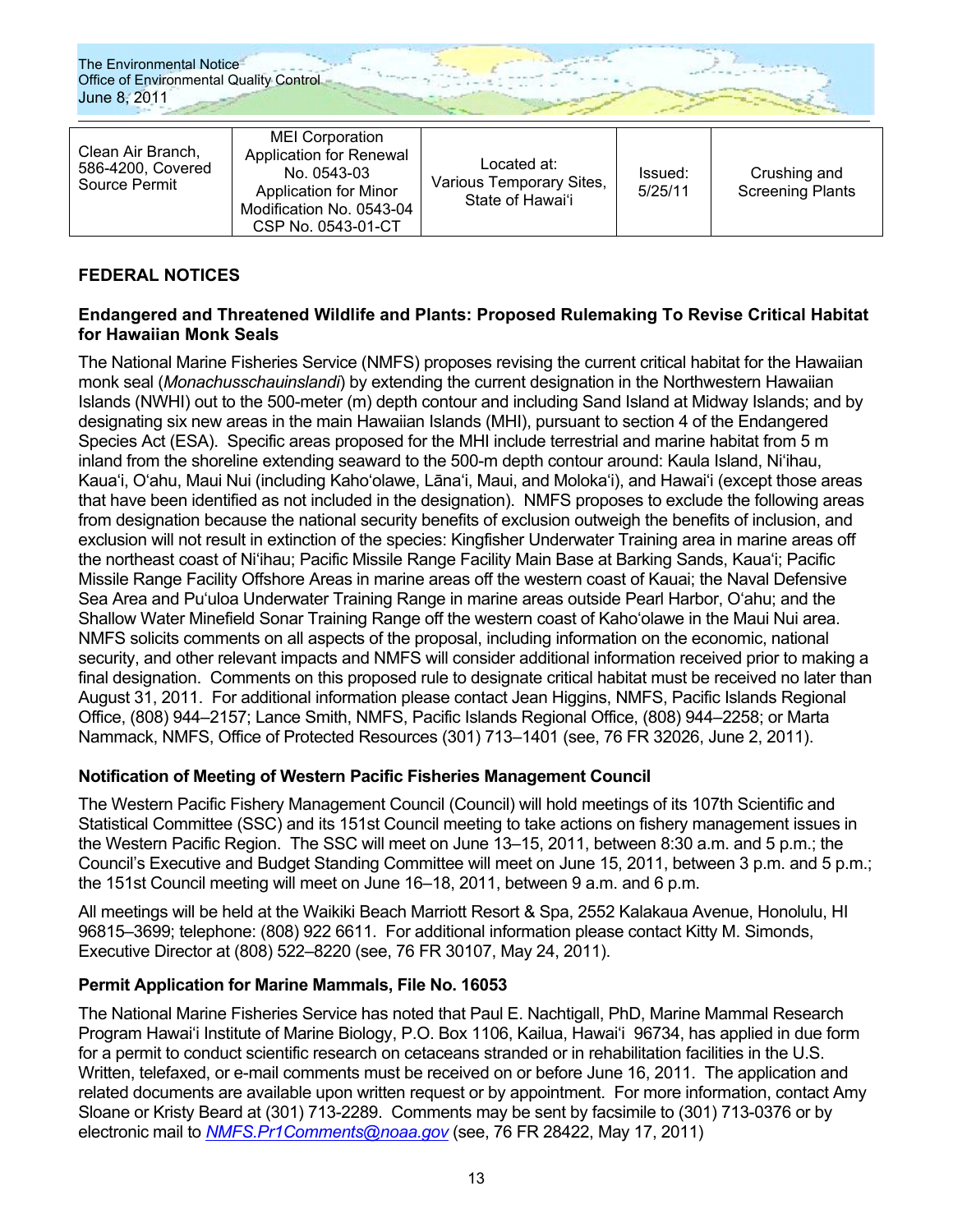| Clean Air Branch,<br>586-4200, Covered<br>Source Permit | <b>MEI</b> Corporation<br><b>Application for Renewal</b><br>No. 0543-03<br><b>Application for Minor</b><br>Modification No. 0543-04<br>CSP No. 0543-01-CT | Located at:<br>Various Temporary Sites,<br>State of Hawai'i | Issued:<br>5/25/11 | Crushing and<br><b>Screening Plants</b> |
|---------------------------------------------------------|-----------------------------------------------------------------------------------------------------------------------------------------------------------|-------------------------------------------------------------|--------------------|-----------------------------------------|
|---------------------------------------------------------|-----------------------------------------------------------------------------------------------------------------------------------------------------------|-------------------------------------------------------------|--------------------|-----------------------------------------|

### **FEDERAL NOTICES**

### **Endangered and Threatened Wildlife and Plants: Proposed Rulemaking To Revise Critical Habitat for Hawaiian Monk Seals**

The National Marine Fisheries Service (NMFS) proposes revising the current critical habitat for the Hawaiian monk seal (*Monachusschauinslandi*) by extending the current designation in the Northwestern Hawaiian Islands (NWHI) out to the 500-meter (m) depth contour and including Sand Island at Midway Islands; and by designating six new areas in the main Hawaiian Islands (MHI), pursuant to section 4 of the Endangered Species Act (ESA). Specific areas proposed for the MHI include terrestrial and marine habitat from 5 m inland from the shoreline extending seaward to the 500-m depth contour around: Kaula Island, Niʻihau, Kauaʻi, Oʻahu, Maui Nui (including Kahoʻolawe, Lānaʻi, Maui, and Molokaʻi), and Hawaiʻi (except those areas that have been identified as not included in the designation). NMFS proposes to exclude the following areas from designation because the national security benefits of exclusion outweigh the benefits of inclusion, and exclusion will not result in extinction of the species: Kingfisher Underwater Training area in marine areas off the northeast coast of Niʻihau; Pacific Missile Range Facility Main Base at Barking Sands, Kauaʻi; Pacific Missile Range Facility Offshore Areas in marine areas off the western coast of Kauai; the Naval Defensive Sea Area and Puʻuloa Underwater Training Range in marine areas outside Pearl Harbor, Oʻahu; and the Shallow Water Minefield Sonar Training Range off the western coast of Kahoʻolawe in the Maui Nui area. NMFS solicits comments on all aspects of the proposal, including information on the economic, national security, and other relevant impacts and NMFS will consider additional information received prior to making a final designation. Comments on this proposed rule to designate critical habitat must be received no later than August 31, 2011. For additional information please contact Jean Higgins, NMFS, Pacific Islands Regional Office, (808) 944–2157; Lance Smith, NMFS, Pacific Islands Regional Office, (808) 944–2258; or Marta Nammack, NMFS, Office of Protected Resources (301) 713–1401 (see, 76 FR 32026, June 2, 2011).

### **Notification of Meeting of Western Pacific Fisheries Management Council**

The Western Pacific Fishery Management Council (Council) will hold meetings of its 107th Scientific and Statistical Committee (SSC) and its 151st Council meeting to take actions on fishery management issues in the Western Pacific Region. The SSC will meet on June 13–15, 2011, between 8:30 a.m. and 5 p.m.; the Council's Executive and Budget Standing Committee will meet on June 15, 2011, between 3 p.m. and 5 p.m.; the 151st Council meeting will meet on June 16–18, 2011, between 9 a.m. and 6 p.m.

All meetings will be held at the Waikiki Beach Marriott Resort & Spa, 2552 Kalakaua Avenue, Honolulu, HI 96815–3699; telephone: (808) 922 6611. For additional information please contact Kitty M. Simonds, Executive Director at (808) 522–8220 (see, 76 FR 30107, May 24, 2011).

### **Permit Application for Marine Mammals, File No. 16053**

The National Marine Fisheries Service has noted that Paul E. Nachtigall, PhD, Marine Mammal Research Program Hawaiʻi Institute of Marine Biology, P.O. Box 1106, Kailua, Hawaiʻi 96734, has applied in due form for a permit to conduct scientific research on cetaceans stranded or in rehabilitation facilities in the U.S. Written, telefaxed, or e-mail comments must be received on or before June 16, 2011. The application and related documents are available upon written request or by appointment. For more information, contact Amy Sloane or Kristy Beard at (301) 713-2289. Comments may be sent by facsimile to (301) 713-0376 or by electronic mail to *NMFS.Pr1Comments@noaa.gov* (see, 76 FR 28422, May 17, 2011)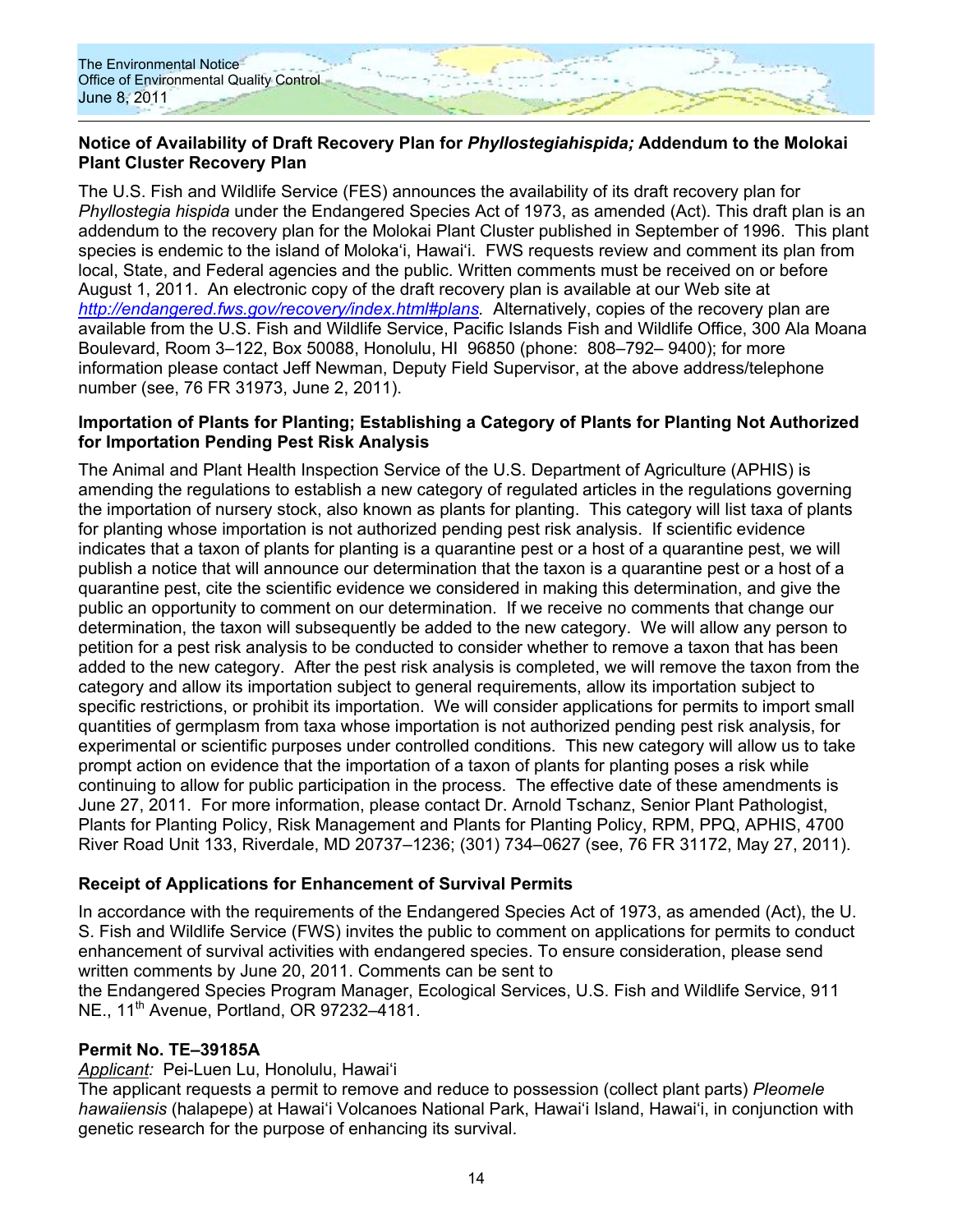

### **Notice of Availability of Draft Recovery Plan for** *Phyllostegiahispida;* **Addendum to the Molokai Plant Cluster Recovery Plan**

The U.S. Fish and Wildlife Service (FES) announces the availability of its draft recovery plan for *Phyllostegia hispida* under the Endangered Species Act of 1973, as amended (Act). This draft plan is an addendum to the recovery plan for the Molokai Plant Cluster published in September of 1996. This plant species is endemic to the island of Molokaʻi, Hawaiʻi. FWS requests review and comment its plan from local, State, and Federal agencies and the public. Written comments must be received on or before August 1, 2011. An electronic copy of the draft recovery plan is available at our Web site at *http://endangered.fws.gov/recovery/index.html#plans.* Alternatively, copies of the recovery plan are available from the U.S. Fish and Wildlife Service, Pacific Islands Fish and Wildlife Office, 300 Ala Moana Boulevard, Room 3–122, Box 50088, Honolulu, HI 96850 (phone: 808–792– 9400); for more information please contact Jeff Newman, Deputy Field Supervisor, at the above address/telephone number (see, 76 FR 31973, June 2, 2011).

#### **Importation of Plants for Planting; Establishing a Category of Plants for Planting Not Authorized for Importation Pending Pest Risk Analysis**

The Animal and Plant Health Inspection Service of the U.S. Department of Agriculture (APHIS) is amending the regulations to establish a new category of regulated articles in the regulations governing the importation of nursery stock, also known as plants for planting. This category will list taxa of plants for planting whose importation is not authorized pending pest risk analysis. If scientific evidence indicates that a taxon of plants for planting is a quarantine pest or a host of a quarantine pest, we will publish a notice that will announce our determination that the taxon is a quarantine pest or a host of a quarantine pest, cite the scientific evidence we considered in making this determination, and give the public an opportunity to comment on our determination. If we receive no comments that change our determination, the taxon will subsequently be added to the new category. We will allow any person to petition for a pest risk analysis to be conducted to consider whether to remove a taxon that has been added to the new category. After the pest risk analysis is completed, we will remove the taxon from the category and allow its importation subject to general requirements, allow its importation subject to specific restrictions, or prohibit its importation. We will consider applications for permits to import small quantities of germplasm from taxa whose importation is not authorized pending pest risk analysis, for experimental or scientific purposes under controlled conditions. This new category will allow us to take prompt action on evidence that the importation of a taxon of plants for planting poses a risk while continuing to allow for public participation in the process. The effective date of these amendments is June 27, 2011. For more information, please contact Dr. Arnold Tschanz, Senior Plant Pathologist, Plants for Planting Policy, Risk Management and Plants for Planting Policy, RPM, PPQ, APHIS, 4700 River Road Unit 133, Riverdale, MD 20737–1236; (301) 734–0627 (see, 76 FR 31172, May 27, 2011).

# **Receipt of Applications for Enhancement of Survival Permits**

In accordance with the requirements of the Endangered Species Act of 1973, as amended (Act), the U. S. Fish and Wildlife Service (FWS) invites the public to comment on applications for permits to conduct enhancement of survival activities with endangered species. To ensure consideration, please send written comments by June 20, 2011. Comments can be sent to

the Endangered Species Program Manager, Ecological Services, U.S. Fish and Wildlife Service, 911 NE., 11<sup>th</sup> Avenue, Portland, OR 97232-4181.

### **Permit No. TE–39185A**

*Applicant:* Pei-Luen Lu, Honolulu, Hawaiʻi

The applicant requests a permit to remove and reduce to possession (collect plant parts) *Pleomele hawaiiensis* (halapepe) at Hawaiʻi Volcanoes National Park, Hawaiʻi Island, Hawaiʻi, in conjunction with genetic research for the purpose of enhancing its survival.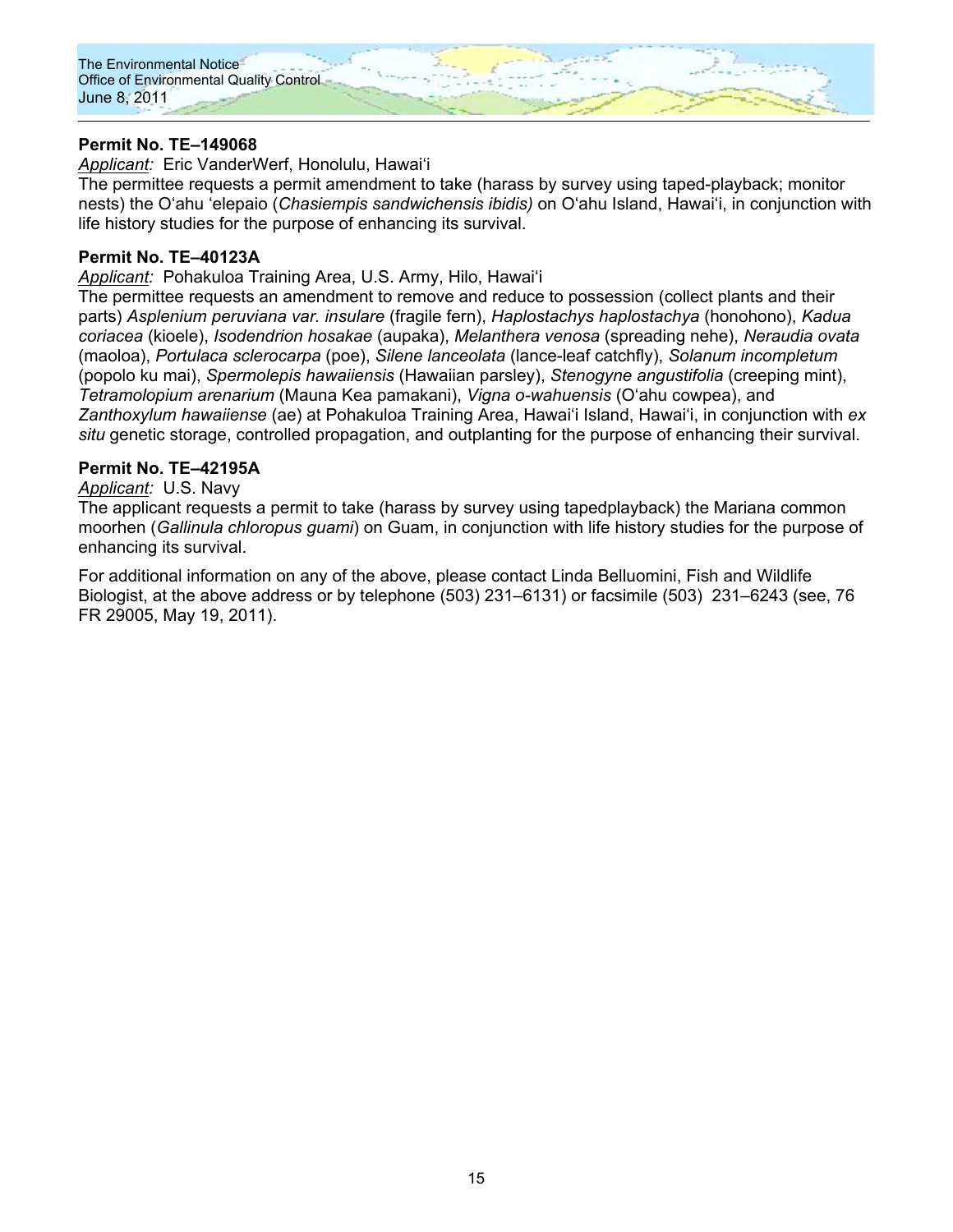

### **Permit No. TE–149068**

*Applicant:* Eric VanderWerf, Honolulu, Hawaiʻi

The permittee requests a permit amendment to take (harass by survey using taped-playback; monitor nests) the Oʻahu ʻelepaio (*Chasiempis sandwichensis ibidis)* on Oʻahu Island, Hawaiʻi, in conjunction with life history studies for the purpose of enhancing its survival.

#### **Permit No. TE–40123A**

*Applicant:* Pohakuloa Training Area, U.S. Army, Hilo, Hawaiʻi

The permittee requests an amendment to remove and reduce to possession (collect plants and their parts) *Asplenium peruviana var. insulare* (fragile fern), *Haplostachys haplostachya* (honohono), *Kadua coriacea* (kioele), *Isodendrion hosakae* (aupaka), *Melanthera venosa* (spreading nehe), *Neraudia ovata*  (maoloa), *Portulaca sclerocarpa* (poe), *Silene lanceolata* (lance-leaf catchfly), *Solanum incompletum*  (popolo ku mai), *Spermolepis hawaiiensis* (Hawaiian parsley), *Stenogyne angustifolia* (creeping mint), *Tetramolopium arenarium* (Mauna Kea pamakani), *Vigna o-wahuensis* (Oʻahu cowpea), and *Zanthoxylum hawaiiense* (ae) at Pohakuloa Training Area, Hawaiʻi Island, Hawaiʻi, in conjunction with *ex situ* genetic storage, controlled propagation, and outplanting for the purpose of enhancing their survival.

### **Permit No. TE–42195A**

*Applicant:* U.S. Navy

The applicant requests a permit to take (harass by survey using tapedplayback) the Mariana common moorhen (*Gallinula chloropus guami*) on Guam, in conjunction with life history studies for the purpose of enhancing its survival.

For additional information on any of the above, please contact Linda Belluomini, Fish and Wildlife Biologist, at the above address or by telephone (503) 231–6131) or facsimile (503) 231–6243 (see, 76 FR 29005, May 19, 2011).